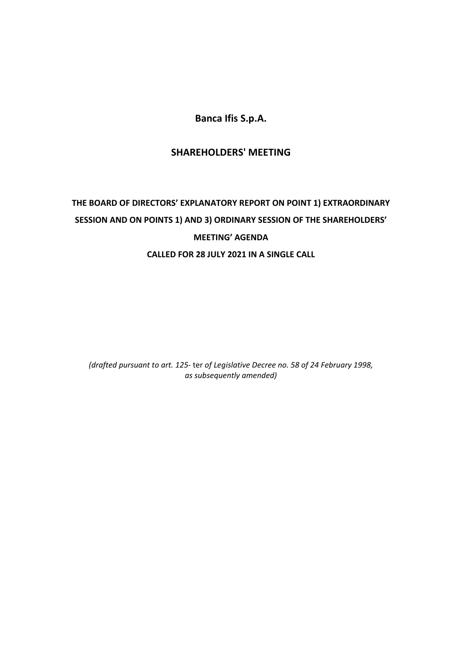**Banca Ifis S.p.A.**

# **SHAREHOLDERS' MEETING**

# **THE BOARD OF DIRECTORS' EXPLANATORY REPORT ON POINT 1) EXTRAORDINARY SESSION AND ON POINTS 1) AND 3) ORDINARY SESSION OF THE SHAREHOLDERS' MEETING' AGENDA CALLED FOR 28 JULY 2021 IN A SINGLE CALL**

*(drafted pursuant to art. 125-* ter *of Legislative Decree no. 58 of 24 February 1998, as subsequently amended)*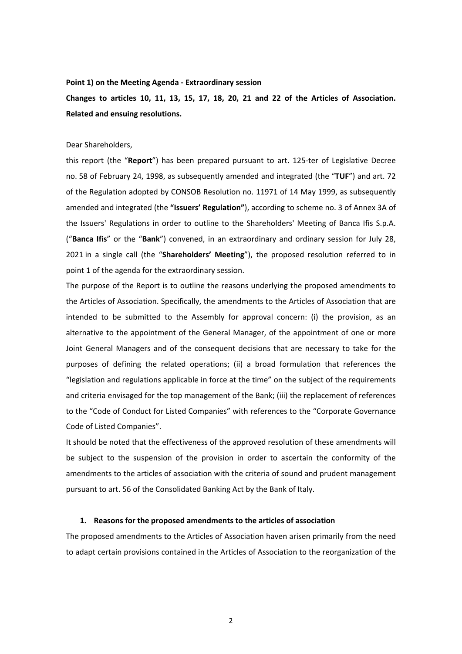#### **Point 1) on the Meeting Agenda - Extraordinary session**

**Changes to articles 10, 11, 13, 15, 17, 18, 20, 21 and 22 of the Articles of Association. Related and ensuing resolutions.**

#### Dear Shareholders,

this report (the "**Report**") has been prepared pursuant to art. 125-ter of Legislative Decree no. 58 of February 24, 1998, as subsequently amended and integrated (the "**TUF**") and art. 72 of the Regulation adopted by CONSOB Resolution no. 11971 of 14 May 1999, as subsequently amended and integrated (the **"Issuers' Regulation"**), according to scheme no. 3 of Annex 3A of the Issuers' Regulations in order to outline to the Shareholders' Meeting of Banca Ifis S.p.A. ("**Banca Ifis**" or the "**Bank**") convened, in an extraordinary and ordinary session for July 28, 2021 in a single call (the "**Shareholders' Meeting**"), the proposed resolution referred to in point 1 of the agenda for the extraordinary session.

The purpose of the Report is to outline the reasons underlying the proposed amendments to the Articles of Association. Specifically, the amendments to the Articles of Association that are intended to be submitted to the Assembly for approval concern: (i) the provision, as an alternative to the appointment of the General Manager, of the appointment of one or more Joint General Managers and of the consequent decisions that are necessary to take for the purposes of defining the related operations; (ii) a broad formulation that references the "legislation and regulations applicable in force at the time" on the subject of the requirements and criteria envisaged for the top management of the Bank; (iii) the replacement of references to the "Code of Conduct for Listed Companies" with references to the "Corporate Governance Code of Listed Companies".

It should be noted that the effectiveness of the approved resolution of these amendments will be subject to the suspension of the provision in order to ascertain the conformity of the amendments to the articles of association with the criteria of sound and prudent management pursuant to art. 56 of the Consolidated Banking Act by the Bank of Italy.

#### **1. Reasons for the proposed amendments to the articles of association**

The proposed amendments to the Articles of Association haven arisen primarily from the need to adapt certain provisions contained in the Articles of Association to the reorganization of the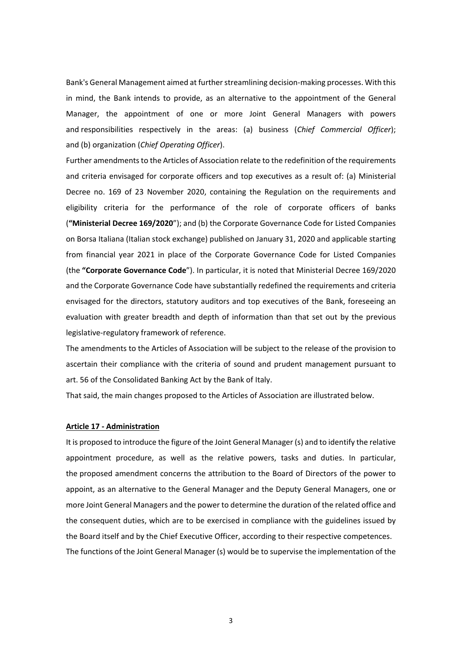Bank's General Management aimed at further streamlining decision-making processes. With this in mind, the Bank intends to provide, as an alternative to the appointment of the General Manager, the appointment of one or more Joint General Managers with powers and responsibilities respectively in the areas: (a) business (*Chief Commercial Officer*); and (b) organization (*Chief Operating Officer*).

Further amendments to the Articles of Association relate to the redefinition of the requirements and criteria envisaged for corporate officers and top executives as a result of: (a) Ministerial Decree no. 169 of 23 November 2020, containing the Regulation on the requirements and eligibility criteria for the performance of the role of corporate officers of banks (**"Ministerial Decree 169/2020**"); and (b) the Corporate Governance Code for Listed Companies on Borsa Italiana (Italian stock exchange) published on January 31, 2020 and applicable starting from financial year 2021 in place of the Corporate Governance Code for Listed Companies (the **"Corporate Governance Code**"). In particular, it is noted that Ministerial Decree 169/2020 and the Corporate Governance Code have substantially redefined the requirements and criteria envisaged for the directors, statutory auditors and top executives of the Bank, foreseeing an evaluation with greater breadth and depth of information than that set out by the previous legislative-regulatory framework of reference.

The amendments to the Articles of Association will be subject to the release of the provision to ascertain their compliance with the criteria of sound and prudent management pursuant to art. 56 of the Consolidated Banking Act by the Bank of Italy.

That said, the main changes proposed to the Articles of Association are illustrated below.

#### **Article 17 - Administration**

It is proposed to introduce the figure of the Joint General Manager (s) and to identify the relative appointment procedure, as well as the relative powers, tasks and duties. In particular, the proposed amendment concerns the attribution to the Board of Directors of the power to appoint, as an alternative to the General Manager and the Deputy General Managers, one or more Joint General Managers and the power to determine the duration of the related office and the consequent duties, which are to be exercised in compliance with the guidelines issued by the Board itself and by the Chief Executive Officer, according to their respective competences. The functions of the Joint General Manager (s) would be to supervise the implementation of the

3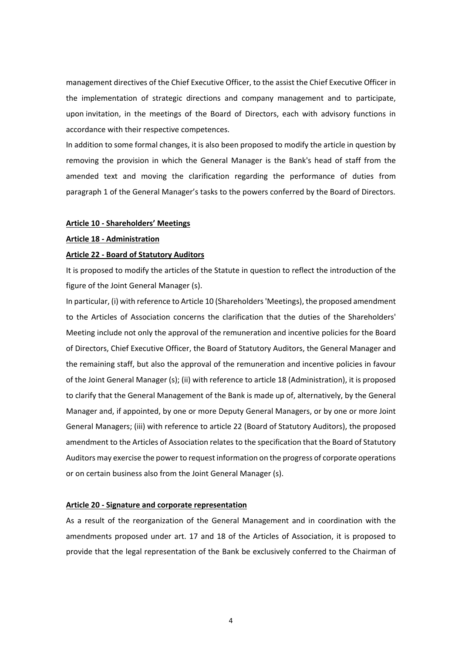management directives of the Chief Executive Officer, to the assist the Chief Executive Officer in the implementation of strategic directions and company management and to participate, upon invitation, in the meetings of the Board of Directors, each with advisory functions in accordance with their respective competences.

In addition to some formal changes, it is also been proposed to modify the article in question by removing the provision in which the General Manager is the Bank's head of staff from the amended text and moving the clarification regarding the performance of duties from paragraph 1 of the General Manager's tasks to the powers conferred by the Board of Directors.

### **Article 10 - Shareholders' Meetings**

#### **Article 18 - Administration**

#### **Article 22 - Board of Statutory Auditors**

It is proposed to modify the articles of the Statute in question to reflect the introduction of the figure of the Joint General Manager (s).

In particular, (i) with reference to Article 10 (Shareholders 'Meetings), the proposed amendment to the Articles of Association concerns the clarification that the duties of the Shareholders' Meeting include not only the approval of the remuneration and incentive policies for the Board of Directors, Chief Executive Officer, the Board of Statutory Auditors, the General Manager and the remaining staff, but also the approval of the remuneration and incentive policies in favour of the Joint General Manager (s); (ii) with reference to article 18 (Administration), it is proposed to clarify that the General Management of the Bank is made up of, alternatively, by the General Manager and, if appointed, by one or more Deputy General Managers, or by one or more Joint General Managers; (iii) with reference to article 22 (Board of Statutory Auditors), the proposed amendment to the Articles of Association relates to the specification that the Board of Statutory Auditors may exercise the power to request information on the progress of corporate operations or on certain business also from the Joint General Manager (s).

#### **Article 20 - Signature and corporate representation**

As a result of the reorganization of the General Management and in coordination with the amendments proposed under art. 17 and 18 of the Articles of Association, it is proposed to provide that the legal representation of the Bank be exclusively conferred to the Chairman of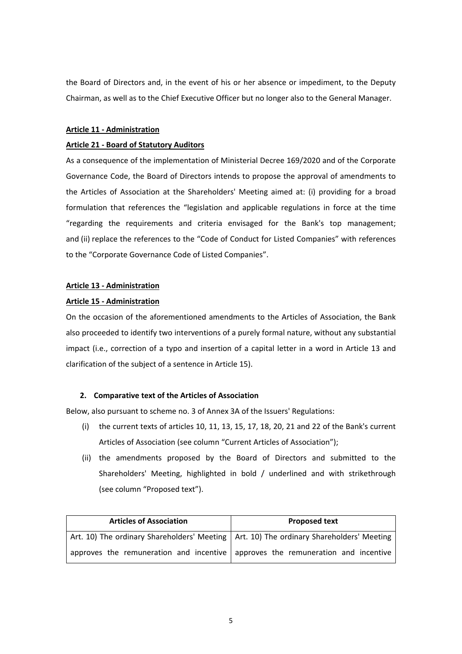the Board of Directors and, in the event of his or her absence or impediment, to the Deputy Chairman, as well as to the Chief Executive Officer but no longer also to the General Manager.

### **Article 11 - Administration**

### **Article 21 - Board of Statutory Auditors**

As a consequence of the implementation of Ministerial Decree 169/2020 and of the Corporate Governance Code, the Board of Directors intends to propose the approval of amendments to the Articles of Association at the Shareholders' Meeting aimed at: (i) providing for a broad formulation that references the "legislation and applicable regulations in force at the time "regarding the requirements and criteria envisaged for the Bank's top management; and (ii) replace the references to the "Code of Conduct for Listed Companies" with references to the "Corporate Governance Code of Listed Companies".

### **Article 13 - Administration**

### **Article 15 - Administration**

On the occasion of the aforementioned amendments to the Articles of Association, the Bank also proceeded to identify two interventions of a purely formal nature, without any substantial impact (i.e., correction of a typo and insertion of a capital letter in a word in Article 13 and clarification of the subject of a sentence in Article 15).

### **2. Comparative text of the Articles of Association**

Below, also pursuant to scheme no. 3 of Annex 3A of the Issuers' Regulations:

- (i) the current texts of articles 10, 11, 13, 15, 17, 18, 20, 21 and 22 of the Bank's current Articles of Association (see column "Current Articles of Association");
- (ii) the amendments proposed by the Board of Directors and submitted to the Shareholders' Meeting, highlighted in bold / underlined and with strikethrough (see column "Proposed text").

| <b>Articles of Association</b>                                                            | <b>Proposed text</b> |
|-------------------------------------------------------------------------------------------|----------------------|
| Art. 10) The ordinary Shareholders' Meeting   Art. 10) The ordinary Shareholders' Meeting |                      |
| approves the remuneration and incentive approves the remuneration and incentive           |                      |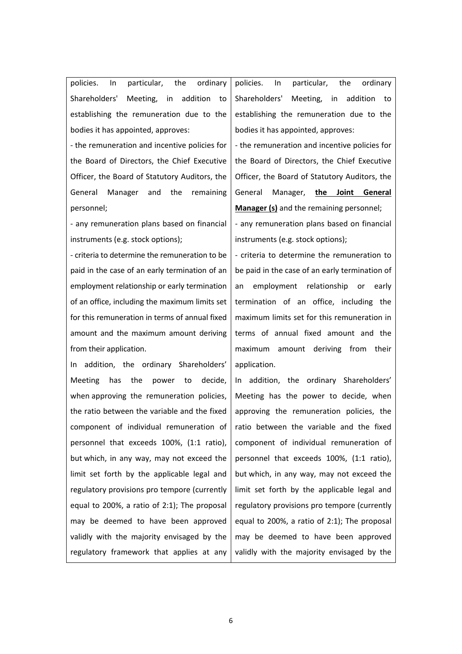policies. In particular, the ordinary Shareholders' Meeting, in addition to establishing the remuneration due to the bodies it has appointed, approves:

- the remuneration and incentive policies for the Board of Directors, the Chief Executive Officer, the Board of Statutory Auditors, the General Manager and the remaining personnel;

- any remuneration plans based on financial instruments (e.g. stock options);

- criteria to determine the remuneration to be paid in the case of an early termination of an employment relationship or early termination of an office, including the maximum limits set for this remuneration in terms of annual fixed amount and the maximum amount deriving from their application.

In addition, the ordinary Shareholders' Meeting has the power to decide, when approving the remuneration policies, the ratio between the variable and the fixed component of individual remuneration of personnel that exceeds 100%, (1:1 ratio), but which, in any way, may not exceed the limit set forth by the applicable legal and regulatory provisions pro tempore (currently equal to 200%, a ratio of 2:1); The proposal may be deemed to have been approved validly with the majority envisaged by the regulatory framework that applies at any policies. In particular, the ordinary Shareholders' Meeting, in addition to establishing the remuneration due to the bodies it has appointed, approves:

- the remuneration and incentive policies for the Board of Directors, the Chief Executive Officer, the Board of Statutory Auditors, the General Manager, **the Joint General Manager (s)** and the remaining personnel;

- any remuneration plans based on financial instruments (e.g. stock options);

- criteria to determine the remuneration to be paid in the case of an early termination of an employment relationship or early termination of an office, including the maximum limits set for this remuneration in terms of annual fixed amount and the maximum amount deriving from their application.

In addition, the ordinary Shareholders' Meeting has the power to decide, when approving the remuneration policies, the ratio between the variable and the fixed component of individual remuneration of personnel that exceeds 100%, (1:1 ratio), but which, in any way, may not exceed the limit set forth by the applicable legal and regulatory provisions pro tempore (currently equal to 200%, a ratio of 2:1); The proposal may be deemed to have been approved validly with the majority envisaged by the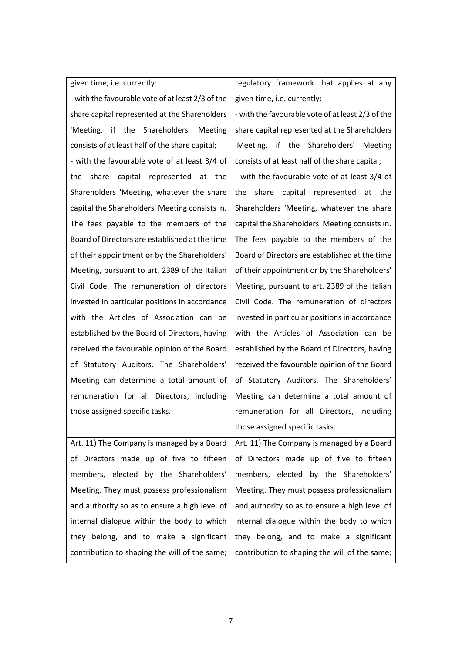given time, i.e. currently: - with the favourable vote of at least 2/3 of the share capital represented at the Shareholders 'Meeting, if the Shareholders' Meeting consists of at least half of the share capital; - with the favourable vote of at least 3/4 of the share capital represented at the Shareholders 'Meeting, whatever the share capital the Shareholders' Meeting consists in. The fees payable to the members of the Board of Directors are established at the time of their appointment or by the Shareholders' Meeting, pursuant to art. 2389 of the Italian Civil Code. The remuneration of directors invested in particular positions in accordance with the Articles of Association can be established by the Board of Directors, having received the favourable opinion of the Board of Statutory Auditors. The Shareholders' Meeting can determine a total amount of remuneration for all Directors, including those assigned specific tasks.

Art. 11) The Company is managed by a Board of Directors made up of five to fifteen members, elected by the Shareholders' Meeting. They must possess professionalism and authority so as to ensure a high level of internal dialogue within the body to which they belong, and to make a significant contribution to shaping the will of the same;

regulatory framework that applies at any given time, i.e. currently:

- with the favourable vote of at least 2/3 of the share capital represented at the Shareholders 'Meeting, if the Shareholders' Meeting consists of at least half of the share capital; - with the favourable vote of at least 3/4 of the share capital represented at the Shareholders 'Meeting, whatever the share capital the Shareholders' Meeting consists in. The fees payable to the members of the Board of Directors are established at the time of their appointment or by the Shareholders' Meeting, pursuant to art. 2389 of the Italian Civil Code. The remuneration of directors invested in particular positions in accordance with the Articles of Association can be established by the Board of Directors, having received the favourable opinion of the Board of Statutory Auditors. The Shareholders' Meeting can determine a total amount of remuneration for all Directors, including those assigned specific tasks.

Art. 11) The Company is managed by a Board of Directors made up of five to fifteen members, elected by the Shareholders' Meeting. They must possess professionalism and authority so as to ensure a high level of internal dialogue within the body to which they belong, and to make a significant contribution to shaping the will of the same;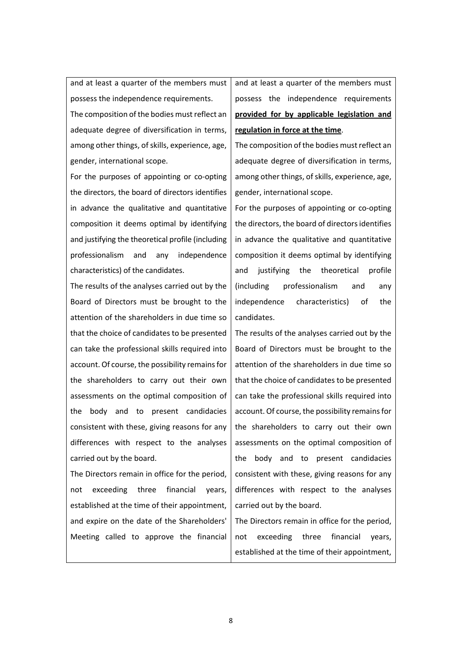and at least a quarter of the members must possess the independence requirements.

The composition of the bodies must reflect an adequate degree of diversification in terms, among other things, of skills, experience, age, gender, international scope.

For the purposes of appointing or co-opting the directors, the board of directors identifies in advance the qualitative and quantitative composition it deems optimal by identifying and justifying the theoretical profile (including professionalism and any independence characteristics) of the candidates.

The results of the analyses carried out by the Board of Directors must be brought to the attention of the shareholders in due time so that the choice of candidates to be presented can take the professional skills required into account. Of course, the possibility remains for the shareholders to carry out their own assessments on the optimal composition of the body and to present candidacies consistent with these, giving reasons for any differences with respect to the analyses carried out by the board.

The Directors remain in office for the period, not exceeding three financial years, established at the time of their appointment, and expire on the date of the Shareholders' Meeting called to approve the financial

and at least a quarter of the members must possess the independence requirements **provided for by applicable legislation and regulation in force at the time**.

The composition of the bodies must reflect an adequate degree of diversification in terms, among other things, of skills, experience, age, gender, international scope.

For the purposes of appointing or co-opting the directors, the board of directors identifies in advance the qualitative and quantitative composition it deems optimal by identifying and justifying the theoretical profile (including professionalism and any independence characteristics) of the candidates.

The results of the analyses carried out by the Board of Directors must be brought to the attention of the shareholders in due time so that the choice of candidates to be presented can take the professional skills required into account. Of course, the possibility remains for the shareholders to carry out their own assessments on the optimal composition of the body and to present candidacies consistent with these, giving reasons for any differences with respect to the analyses carried out by the board.

The Directors remain in office for the period, not exceeding three financial years, established at the time of their appointment,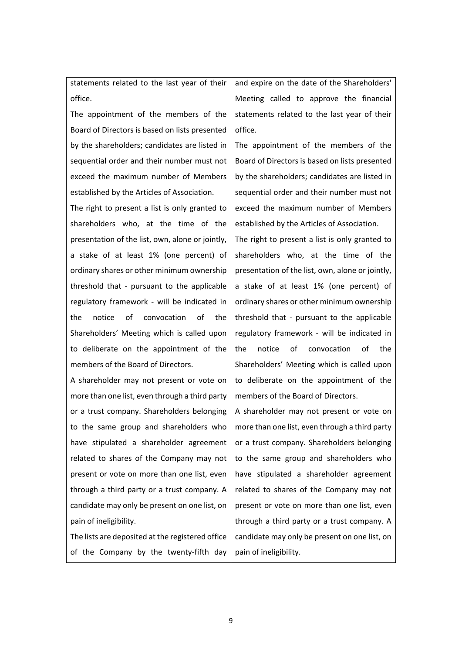statements related to the last year of their office.

The appointment of the members of the Board of Directors is based on lists presented by the shareholders; candidates are listed in sequential order and their number must not exceed the maximum number of Members established by the Articles of Association.

The right to present a list is only granted to shareholders who, at the time of the presentation of the list, own, alone or jointly, a stake of at least 1% (one percent) of ordinary shares or other minimum ownership threshold that - pursuant to the applicable regulatory framework - will be indicated in the notice of convocation of the Shareholders' Meeting which is called upon to deliberate on the appointment of the members of the Board of Directors.

A shareholder may not present or vote on more than one list, even through a third party or a trust company. Shareholders belonging to the same group and shareholders who have stipulated a shareholder agreement related to shares of the Company may not present or vote on more than one list, even through a third party or a trust company. A candidate may only be present on one list, on pain of ineligibility.

The lists are deposited at the registered office of the Company by the twenty-fifth day and expire on the date of the Shareholders' Meeting called to approve the financial statements related to the last year of their office.

The appointment of the members of the Board of Directors is based on lists presented by the shareholders; candidates are listed in sequential order and their number must not exceed the maximum number of Members established by the Articles of Association.

The right to present a list is only granted to shareholders who, at the time of the presentation of the list, own, alone or jointly, a stake of at least 1% (one percent) of ordinary shares or other minimum ownership threshold that - pursuant to the applicable regulatory framework - will be indicated in the notice of convocation of the Shareholders' Meeting which is called upon to deliberate on the appointment of the members of the Board of Directors.

A shareholder may not present or vote on more than one list, even through a third party or a trust company. Shareholders belonging to the same group and shareholders who have stipulated a shareholder agreement related to shares of the Company may not present or vote on more than one list, even through a third party or a trust company. A candidate may only be present on one list, on pain of ineligibility.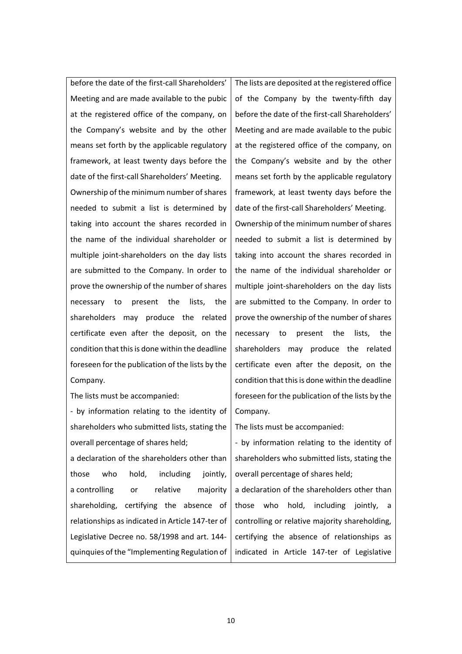before the date of the first-call Shareholders' Meeting and are made available to the pubic at the registered office of the company, on the Company's website and by the other means set forth by the applicable regulatory framework, at least twenty days before the date of the first-call Shareholders' Meeting. Ownership of the minimum number of shares needed to submit a list is determined by taking into account the shares recorded in the name of the individual shareholder or multiple joint-shareholders on the day lists are submitted to the Company. In order to prove the ownership of the number of shares necessary to present the lists, the shareholders may produce the related certificate even after the deposit, on the condition that this is done within the deadline foreseen for the publication of the lists by the Company.

The lists must be accompanied:

- by information relating to the identity of shareholders who submitted lists, stating the overall percentage of shares held;

a declaration of the shareholders other than those who hold, including jointly, a controlling or relative majority shareholding, certifying the absence of relationships as indicated in Article 147-ter of Legislative Decree no. 58/1998 and art. 144 quinquies of the "Implementing Regulation of The lists are deposited at the registered office of the Company by the twenty-fifth day before the date of the first-call Shareholders' Meeting and are made available to the pubic at the registered office of the company, on the Company's website and by the other means set forth by the applicable regulatory framework, at least twenty days before the date of the first-call Shareholders' Meeting. Ownership of the minimum number of shares needed to submit a list is determined by taking into account the shares recorded in the name of the individual shareholder or multiple joint-shareholders on the day lists are submitted to the Company. In order to prove the ownership of the number of shares necessary to present the lists, the shareholders may produce the related certificate even after the deposit, on the condition that this is done within the deadline foreseen for the publication of the lists by the Company.

The lists must be accompanied:

- by information relating to the identity of shareholders who submitted lists, stating the overall percentage of shares held;

a declaration of the shareholders other than those who hold, including jointly, a controlling or relative majority shareholding, certifying the absence of relationships as indicated in Article 147-ter of Legislative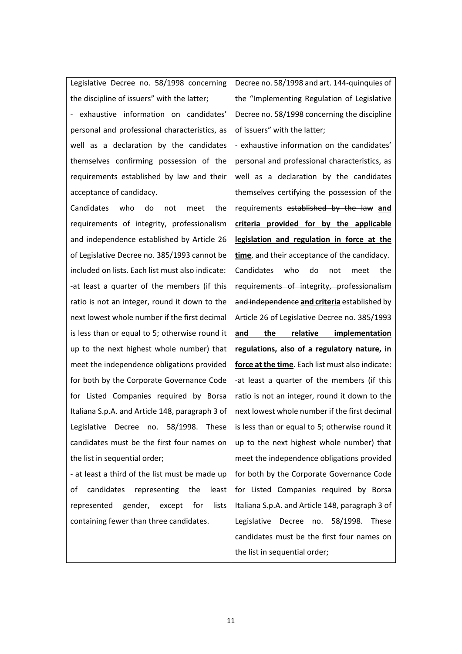Legislative Decree no. 58/1998 concerning the discipline of issuers" with the latter;

- exhaustive information on candidates' personal and professional characteristics, as well as a declaration by the candidates themselves confirming possession of the requirements established by law and their acceptance of candidacy.

Candidates who do not meet the requirements of integrity, professionalism and independence established by Article 26 of Legislative Decree no. 385/1993 cannot be included on lists. Each list must also indicate: -at least a quarter of the members (if this ratio is not an integer, round it down to the next lowest whole number if the first decimal is less than or equal to 5; otherwise round it up to the next highest whole number) that meet the independence obligations provided for both by the Corporate Governance Code for Listed Companies required by Borsa Italiana S.p.A. and Article 148, paragraph 3 of Legislative Decree no. 58/1998. These candidates must be the first four names on the list in sequential order;

- at least a third of the list must be made up of candidates representing the least represented gender, except for lists containing fewer than three candidates.

Decree no. 58/1998 and art. 144-quinquies of the "Implementing Regulation of Legislative Decree no. 58/1998 concerning the discipline of issuers" with the latter;

- exhaustive information on the candidates' personal and professional characteristics, as well as a declaration by the candidates themselves certifying the possession of the requirements established by the law **and criteria provided for by the applicable legislation and regulation in force at the time**, and their acceptance of the candidacy. Candidates who do not meet the requirements of integrity, professionalism and independence **and criteria** established by Article 26 of Legislative Decree no. 385/1993 **and the relative implementation regulations, also of a regulatory nature, in force at the time**. Each list must also indicate: -at least a quarter of the members (if this ratio is not an integer, round it down to the next lowest whole number if the first decimal is less than or equal to 5; otherwise round it up to the next highest whole number) that meet the independence obligations provided for both by the Corporate Governance Code for Listed Companies required by Borsa Italiana S.p.A. and Article 148, paragraph 3 of Legislative Decree no. 58/1998. These candidates must be the first four names on the list in sequential order;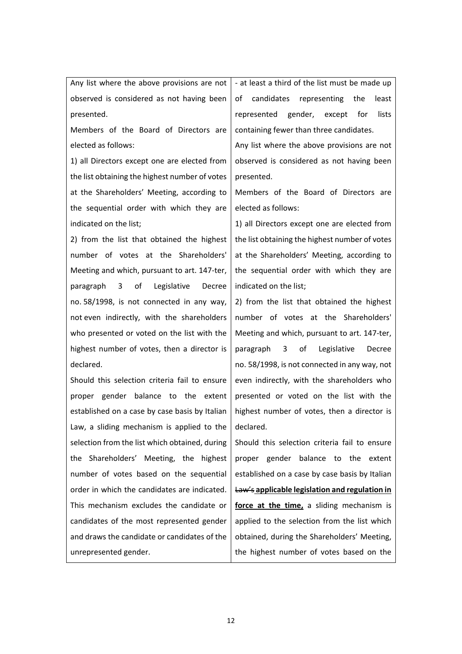Any list where the above provisions are not observed is considered as not having been presented.

Members of the Board of Directors are elected as follows:

1) all Directors except one are elected from the list obtaining the highest number of votes at the Shareholders' Meeting, according to the sequential order with which they are indicated on the list;

2) from the list that obtained the highest number of votes at the Shareholders' Meeting and which, pursuant to art. 147-ter, paragraph 3 of Legislative Decree no. 58/1998, is not connected in any way, not even indirectly, with the shareholders who presented or voted on the list with the highest number of votes, then a director is declared.

Should this selection criteria fail to ensure proper gender balance to the extent established on a case by case basis by Italian Law, a sliding mechanism is applied to the selection from the list which obtained, during the Shareholders' Meeting, the highest number of votes based on the sequential order in which the candidates are indicated. This mechanism excludes the candidate or candidates of the most represented gender and draws the candidate or candidates of the unrepresented gender.

- at least a third of the list must be made up of candidates representing the least represented gender, except for lists containing fewer than three candidates.

Any list where the above provisions are not observed is considered as not having been presented.

Members of the Board of Directors are elected as follows:

1) all Directors except one are elected from the list obtaining the highest number of votes at the Shareholders' Meeting, according to the sequential order with which they are indicated on the list;

2) from the list that obtained the highest number of votes at the Shareholders' Meeting and which, pursuant to art. 147-ter, paragraph 3 of Legislative Decree no. 58/1998, is not connected in any way, not even indirectly, with the shareholders who presented or voted on the list with the highest number of votes, then a director is declared.

Should this selection criteria fail to ensure proper gender balance to the extent established on a case by case basis by Italian Law's **applicable legislation and regulation in force at the time,** a sliding mechanism is applied to the selection from the list which obtained, during the Shareholders' Meeting, the highest number of votes based on the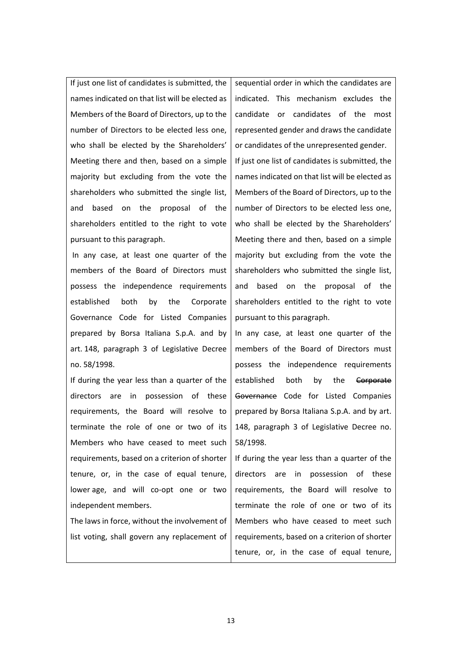If just one list of candidates is submitted, the names indicated on that list will be elected as Members of the Board of Directors, up to the number of Directors to be elected less one, who shall be elected by the Shareholders' Meeting there and then, based on a simple majority but excluding from the vote the shareholders who submitted the single list, and based on the proposal of the shareholders entitled to the right to vote pursuant to this paragraph.

In any case, at least one quarter of the members of the Board of Directors must possess the independence requirements established both by the Corporate Governance Code for Listed Companies prepared by Borsa Italiana S.p.A. and by art. 148, paragraph 3 of Legislative Decree no. 58/1998.

If during the year less than a quarter of the directors are in possession of these requirements, the Board will resolve to terminate the role of one or two of its Members who have ceased to meet such requirements, based on a criterion of shorter tenure, or, in the case of equal tenure, lower age, and will co-opt one or two independent members.

The laws in force, without the involvement of list voting, shall govern any replacement of sequential order in which the candidates are indicated. This mechanism excludes the candidate or candidates of the most represented gender and draws the candidate or candidates of the unrepresented gender. If just one list of candidates is submitted, the names indicated on that list will be elected as Members of the Board of Directors, up to the number of Directors to be elected less one, who shall be elected by the Shareholders' Meeting there and then, based on a simple majority but excluding from the vote the shareholders who submitted the single list, and based on the proposal of the shareholders entitled to the right to vote pursuant to this paragraph.

In any case, at least one quarter of the members of the Board of Directors must possess the independence requirements established both by the Corporate Governance Code for Listed Companies prepared by Borsa Italiana S.p.A. and by art. 148, paragraph 3 of Legislative Decree no. 58/1998.

If during the year less than a quarter of the directors are in possession of these requirements, the Board will resolve to terminate the role of one or two of its Members who have ceased to meet such requirements, based on a criterion of shorter tenure, or, in the case of equal tenure,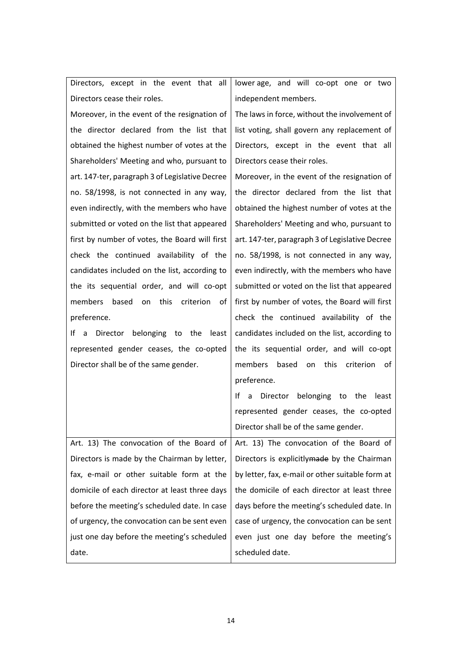| Directors, except in the event that all             | lower age, and will co-opt one or two             |
|-----------------------------------------------------|---------------------------------------------------|
| Directors cease their roles.                        | independent members.                              |
| Moreover, in the event of the resignation of        | The laws in force, without the involvement of     |
| the director declared from the list that            | list voting, shall govern any replacement of      |
| obtained the highest number of votes at the         | Directors, except in the event that all           |
| Shareholders' Meeting and who, pursuant to          | Directors cease their roles.                      |
| art. 147-ter, paragraph 3 of Legislative Decree     | Moreover, in the event of the resignation of      |
| no. 58/1998, is not connected in any way,           | the director declared from the list that          |
| even indirectly, with the members who have          | obtained the highest number of votes at the       |
| submitted or voted on the list that appeared        | Shareholders' Meeting and who, pursuant to        |
| first by number of votes, the Board will first      | art. 147-ter, paragraph 3 of Legislative Decree   |
| check the continued availability of the             | no. 58/1998, is not connected in any way,         |
| candidates included on the list, according to       | even indirectly, with the members who have        |
| the its sequential order, and will co-opt           | submitted or voted on the list that appeared      |
| this<br>criterion<br>members<br>based<br>of<br>on   | first by number of votes, the Board will first    |
| preference.                                         | check the continued availability of the           |
| belonging<br>Director<br>to the<br>least<br>I۴<br>a | candidates included on the list, according to     |
| represented gender ceases, the co-opted             | the its sequential order, and will co-opt         |
| Director shall be of the same gender.               | based<br>this<br>criterion<br>members<br>on<br>0f |
|                                                     | preference.                                       |
|                                                     | Director belonging to the<br>least<br>Ιf<br>a     |
|                                                     | represented gender ceases, the co-opted           |
|                                                     | Director shall be of the same gender.             |
| Art. 13) The convocation of the Board of            | Art. 13) The convocation of the Board of          |
| Directors is made by the Chairman by letter,        | Directors is explicitlymade by the Chairman       |
| fax, e-mail or other suitable form at the           | by letter, fax, e-mail or other suitable form at  |
| domicile of each director at least three days       | the domicile of each director at least three      |
| before the meeting's scheduled date. In case        | days before the meeting's scheduled date. In      |
| of urgency, the convocation can be sent even        | case of urgency, the convocation can be sent      |
| just one day before the meeting's scheduled         | even just one day before the meeting's            |
| date.                                               | scheduled date.                                   |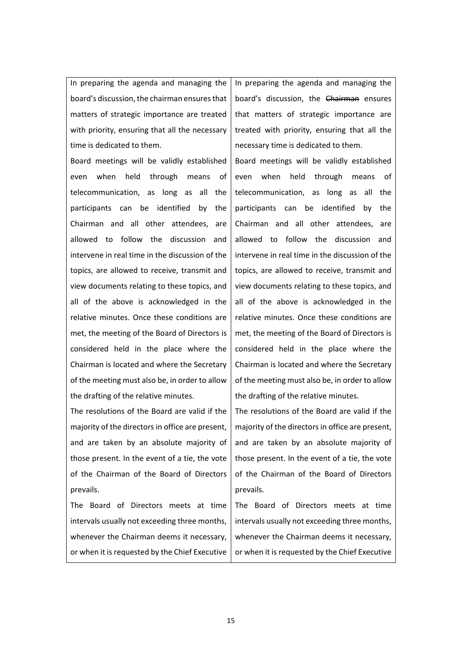In preparing the agenda and managing the board's discussion, the chairman ensures that matters of strategic importance are treated with priority, ensuring that all the necessary time is dedicated to them.

Board meetings will be validly established even when held through means of telecommunication, as long as all the participants can be identified by the Chairman and all other attendees, are allowed to follow the discussion and intervene in real time in the discussion of the topics, are allowed to receive, transmit and view documents relating to these topics, and all of the above is acknowledged in the relative minutes. Once these conditions are met, the meeting of the Board of Directors is considered held in the place where the Chairman is located and where the Secretary of the meeting must also be, in order to allow the drafting of the relative minutes.

The resolutions of the Board are valid if the majority of the directors in office are present, and are taken by an absolute majority of those present. In the event of a tie, the vote of the Chairman of the Board of Directors prevails.

The Board of Directors meets at time intervals usually not exceeding three months, whenever the Chairman deems it necessary, or when it is requested by the Chief Executive In preparing the agenda and managing the board's discussion, the Chairman ensures that matters of strategic importance are treated with priority, ensuring that all the necessary time is dedicated to them.

Board meetings will be validly established even when held through means of telecommunication, as long as all the participants can be identified by the Chairman and all other attendees, are allowed to follow the discussion and intervene in real time in the discussion of the topics, are allowed to receive, transmit and view documents relating to these topics, and all of the above is acknowledged in the relative minutes. Once these conditions are met, the meeting of the Board of Directors is considered held in the place where the Chairman is located and where the Secretary of the meeting must also be, in order to allow the drafting of the relative minutes.

The resolutions of the Board are valid if the majority of the directors in office are present, and are taken by an absolute majority of those present. In the event of a tie, the vote of the Chairman of the Board of Directors prevails.

The Board of Directors meets at time intervals usually not exceeding three months, whenever the Chairman deems it necessary, or when it is requested by the Chief Executive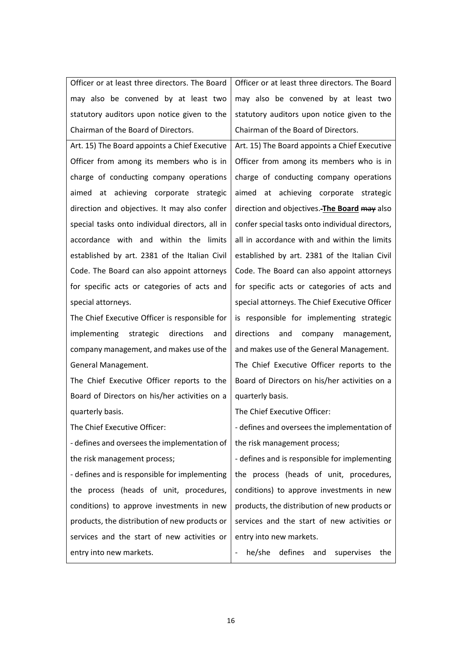| Officer or at least three directors. The Board  | Officer or at least three directors. The Board  |
|-------------------------------------------------|-------------------------------------------------|
| may also be convened by at least two            | may also be convened by at least two            |
| statutory auditors upon notice given to the     | statutory auditors upon notice given to the     |
| Chairman of the Board of Directors.             | Chairman of the Board of Directors.             |
| Art. 15) The Board appoints a Chief Executive   | Art. 15) The Board appoints a Chief Executive   |
| Officer from among its members who is in        | Officer from among its members who is in        |
| charge of conducting company operations         | charge of conducting company operations         |
| aimed at achieving corporate strategic          | aimed at achieving corporate strategic          |
| direction and objectives. It may also confer    | direction and objectives. The Board may also    |
| special tasks onto individual directors, all in | confer special tasks onto individual directors, |
| accordance with and within the limits           | all in accordance with and within the limits    |
| established by art. 2381 of the Italian Civil   | established by art. 2381 of the Italian Civil   |
| Code. The Board can also appoint attorneys      | Code. The Board can also appoint attorneys      |
| for specific acts or categories of acts and     | for specific acts or categories of acts and     |
| special attorneys.                              | special attorneys. The Chief Executive Officer  |
| The Chief Executive Officer is responsible for  | is responsible for implementing strategic       |
| implementing strategic<br>directions<br>and     | directions<br>and<br>company management,        |
| company management, and makes use of the        | and makes use of the General Management.        |
| General Management.                             | The Chief Executive Officer reports to the      |
| The Chief Executive Officer reports to the      | Board of Directors on his/her activities on a   |
| Board of Directors on his/her activities on a   | quarterly basis.                                |
| quarterly basis.                                | The Chief Executive Officer:                    |
| The Chief Executive Officer:                    | - defines and oversees the implementation of    |
| - defines and oversees the implementation of    | the risk management process;                    |
| the risk management process;                    | - defines and is responsible for implementing   |
| - defines and is responsible for implementing   | the process (heads of unit, procedures,         |
| the process (heads of unit, procedures,         | conditions) to approve investments in new       |
| conditions) to approve investments in new       | products, the distribution of new products or   |
| products, the distribution of new products or   | services and the start of new activities or     |
| services and the start of new activities or     | entry into new markets.                         |
| entry into new markets.                         | defines<br>and<br>he/she<br>supervises<br>the   |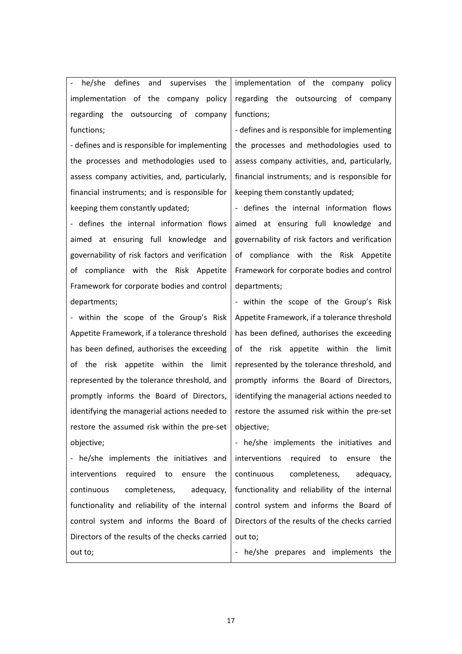- he/she defines and supervises the implementation of the company policy regarding the outsourcing of company functions;

- defines and is responsible for implementing the processes and methodologies used to assess company activities, and, particularly, financial instruments; and is responsible for keeping them constantly updated;

- defines the internal information flows aimed at ensuring full knowledge and governability of risk factors and verification of compliance with the Risk Appetite Framework for corporate bodies and control departments;

- within the scope of the Group's Risk Appetite Framework, if a tolerance threshold has been defined, authorises the exceeding of the risk appetite within the limit represented by the tolerance threshold, and promptly informs the Board of Directors, identifying the managerial actions needed to restore the assumed risk within the pre-set objective;

- he/she implements the initiatives and interventions required to ensure the continuous completeness, adequacy, functionality and reliability of the internal control system and informs the Board of Directors of the results of the checks carried out to;

implementation of the company policy regarding the outsourcing of company functions;

- defines and is responsible for implementing the processes and methodologies used to assess company activities, and, particularly, financial instruments; and is responsible for keeping them constantly updated;

- defines the internal information flows aimed at ensuring full knowledge and governability of risk factors and verification of compliance with the Risk Appetite Framework for corporate bodies and control departments;

- within the scope of the Group's Risk Appetite Framework, if a tolerance threshold has been defined, authorises the exceeding of the risk appetite within the limit represented by the tolerance threshold, and promptly informs the Board of Directors, identifying the managerial actions needed to restore the assumed risk within the pre-set objective;

- he/she implements the initiatives and interventions required to ensure the continuous completeness, adequacy, functionality and reliability of the internal control system and informs the Board of Directors of the results of the checks carried out to;

- he/she prepares and implements the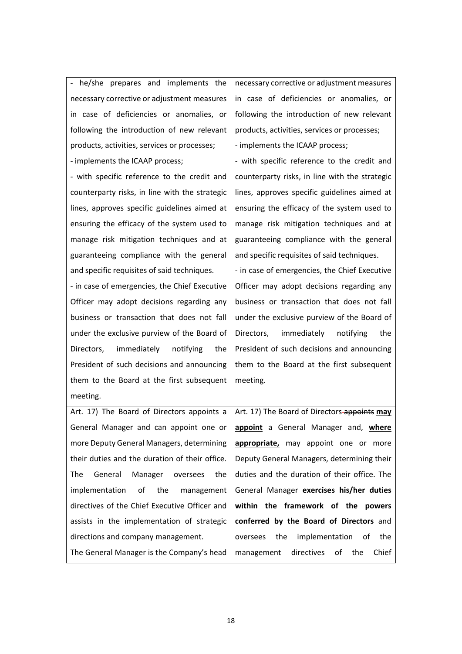- he/she prepares and implements the necessary corrective or adjustment measures in case of deficiencies or anomalies, or following the introduction of new relevant products, activities, services or processes; - implements the ICAAP process;

- with specific reference to the credit and counterparty risks, in line with the strategic lines, approves specific guidelines aimed at ensuring the efficacy of the system used to manage risk mitigation techniques and at guaranteeing compliance with the general and specific requisites of said techniques.

- in case of emergencies, the Chief Executive Officer may adopt decisions regarding any business or transaction that does not fall under the exclusive purview of the Board of Directors, immediately notifying the President of such decisions and announcing them to the Board at the first subsequent meeting.

Art. 17) The Board of Directors appoints a General Manager and can appoint one or more Deputy General Managers, determining their duties and the duration of their office. The General Manager oversees the implementation of the management directives of the Chief Executive Officer and assists in the implementation of strategic directions and company management.

The General Manager is the Company's head

necessary corrective or adjustment measures in case of deficiencies or anomalies, or following the introduction of new relevant products, activities, services or processes; - implements the ICAAP process;

- with specific reference to the credit and counterparty risks, in line with the strategic lines, approves specific guidelines aimed at ensuring the efficacy of the system used to manage risk mitigation techniques and at guaranteeing compliance with the general and specific requisites of said techniques.

- in case of emergencies, the Chief Executive Officer may adopt decisions regarding any business or transaction that does not fall under the exclusive purview of the Board of Directors, immediately notifying the President of such decisions and announcing them to the Board at the first subsequent meeting.

Art. 17) The Board of Directors appoints **may appoint** a General Manager and, **where**  appropriate,-may appoint one or more Deputy General Managers, determining their duties and the duration of their office. The General Manager **exercises his/her duties within the framework of the powers conferred by the Board of Directors** and oversees the implementation of the management directives of the Chief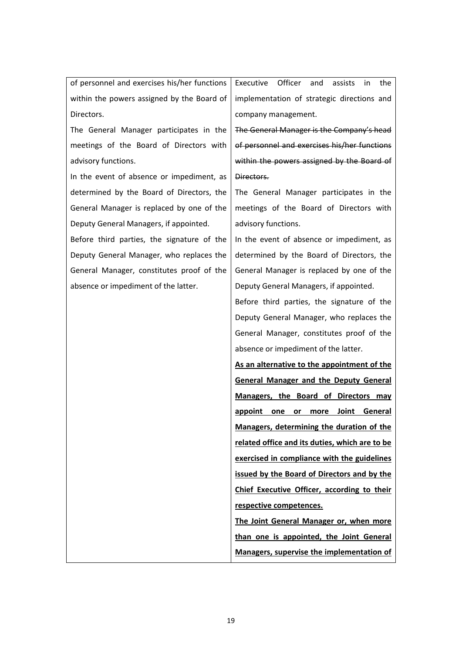of personnel and exercises his/her functions within the powers assigned by the Board of Directors.

The General Manager participates in the meetings of the Board of Directors with advisory functions.

In the event of absence or impediment, as determined by the Board of Directors, the General Manager is replaced by one of the Deputy General Managers, if appointed.

Before third parties, the signature of the Deputy General Manager, who replaces the General Manager, constitutes proof of the absence or impediment of the latter.

Executive Officer and assists in the implementation of strategic directions and company management.

The General Manager is the Company's head of personnel and exercises his/her functions within the powers assigned by the Board of Directors.

The General Manager participates in the meetings of the Board of Directors with advisory functions.

In the event of absence or impediment, as determined by the Board of Directors, the General Manager is replaced by one of the Deputy General Managers, if appointed.

Before third parties, the signature of the Deputy General Manager, who replaces the General Manager, constitutes proof of the absence or impediment of the latter.

**As an alternative to the appointment of the General Manager and the Deputy General Managers, the Board of Directors may appoint one or more Joint General Managers, determining the duration of the related office and its duties, which are to be exercised in compliance with the guidelines issued by the Board of Directors and by the Chief Executive Officer, according to their respective competences.**

**The Joint General Manager or, when more than one is appointed, the Joint General Managers, supervise the implementation of**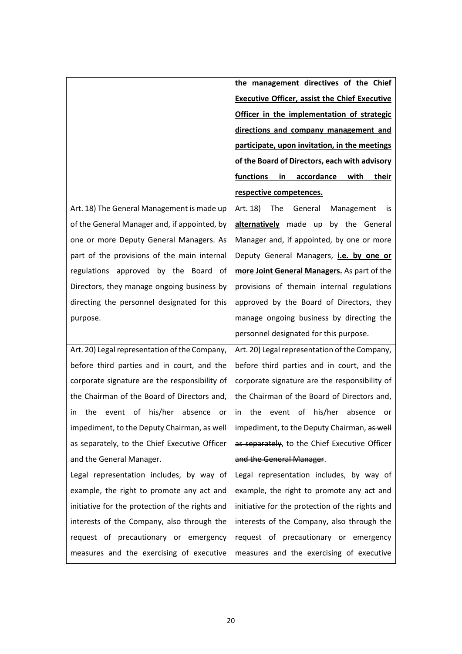|                                                      | the management directives of the Chief               |
|------------------------------------------------------|------------------------------------------------------|
|                                                      | <b>Executive Officer, assist the Chief Executive</b> |
|                                                      | Officer in the implementation of strategic           |
|                                                      | directions and company management and                |
|                                                      | participate, upon invitation, in the meetings        |
|                                                      | of the Board of Directors, each with advisory        |
|                                                      | accordance<br>functions<br>in<br>with<br>their       |
|                                                      | respective competences.                              |
| Art. 18) The General Management is made up           | The<br>General<br>Art. 18)<br>Management<br>is       |
| of the General Manager and, if appointed, by         | alternatively made up by the General                 |
| one or more Deputy General Managers. As              | Manager and, if appointed, by one or more            |
| part of the provisions of the main internal          | Deputy General Managers, i.e. by one or              |
| regulations approved by the Board of                 | more Joint General Managers. As part of the          |
| Directors, they manage ongoing business by           | provisions of themain internal regulations           |
| directing the personnel designated for this          | approved by the Board of Directors, they             |
| purpose.                                             | manage ongoing business by directing the             |
|                                                      | personnel designated for this purpose.               |
| Art. 20) Legal representation of the Company,        | Art. 20) Legal representation of the Company,        |
| before third parties and in court, and the           | before third parties and in court, and the           |
| corporate signature are the responsibility of        | corporate signature are the responsibility of        |
| the Chairman of the Board of Directors and,          | the Chairman of the Board of Directors and,          |
| his/her<br>the<br>of<br>absence<br>in<br>event<br>or | the<br>his/her absence<br>event<br>of<br>in.<br>or   |
| impediment, to the Deputy Chairman, as well          | impediment, to the Deputy Chairman, as well          |
| as separately, to the Chief Executive Officer        | as separately, to the Chief Executive Officer        |
| and the General Manager.                             | and the General Manager.                             |
| Legal representation includes, by way of             | Legal representation includes, by way of             |
| example, the right to promote any act and            | example, the right to promote any act and            |
| initiative for the protection of the rights and      | initiative for the protection of the rights and      |
| interests of the Company, also through the           | interests of the Company, also through the           |
| request of precautionary or emergency                | request of precautionary or emergency                |
| measures and the exercising of executive             | measures and the exercising of executive             |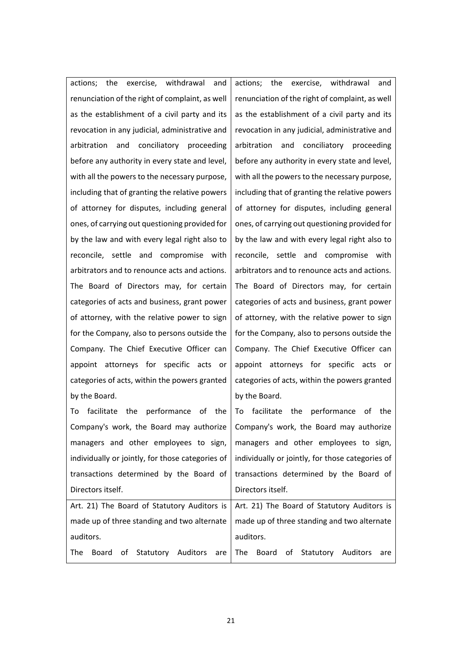actions; the exercise, withdrawal and renunciation of the right of complaint, as well as the establishment of a civil party and its revocation in any judicial, administrative and arbitration and conciliatory proceeding before any authority in every state and level, with all the powers to the necessary purpose, including that of granting the relative powers of attorney for disputes, including general ones, of carrying out questioning provided for by the law and with every legal right also to reconcile, settle and compromise with arbitrators and to renounce acts and actions. The Board of Directors may, for certain categories of acts and business, grant power of attorney, with the relative power to sign for the Company, also to persons outside the Company. The Chief Executive Officer can appoint attorneys for specific acts or categories of acts, within the powers granted by the Board.

actions; the exercise, withdrawal and renunciation of the right of complaint, as well as the establishment of a civil party and its revocation in any judicial, administrative and arbitration and conciliatory proceeding before any authority in every state and level, with all the powers to the necessary purpose, including that of granting the relative powers of attorney for disputes, including general ones, of carrying out questioning provided for by the law and with every legal right also to reconcile, settle and compromise with arbitrators and to renounce acts and actions. The Board of Directors may, for certain categories of acts and business, grant power of attorney, with the relative power to sign for the Company, also to persons outside the Company. The Chief Executive Officer can appoint attorneys for specific acts or categories of acts, within the powers granted by the Board.

To facilitate the performance of the Company's work, the Board may authorize managers and other employees to sign, individually or jointly, for those categories of transactions determined by the Board of Directors itself. To facilitate the performance of the Company's work, the Board may authorize managers and other employees to sign, individually or jointly, for those categories of transactions determined by the Board of Directors itself. Art. 21) The Board of Statutory Auditors is made up of three standing and two alternate auditors. The Board of Statutory Auditors are Art. 21) The Board of Statutory Auditors is made up of three standing and two alternate auditors. The Board of Statutory Auditors are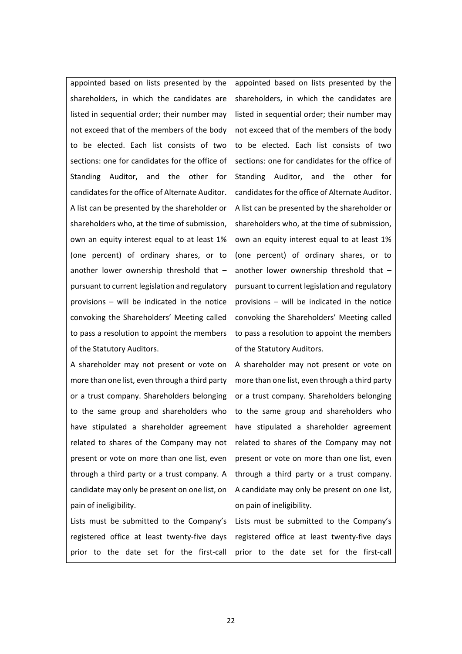appointed based on lists presented by the shareholders, in which the candidates are listed in sequential order; their number may not exceed that of the members of the body to be elected. Each list consists of two sections: one for candidates for the office of Standing Auditor, and the other for candidates for the office of Alternate Auditor. A list can be presented by the shareholder or shareholders who, at the time of submission, own an equity interest equal to at least 1% (one percent) of ordinary shares, or to another lower ownership threshold that – pursuant to current legislation and regulatory provisions – will be indicated in the notice convoking the Shareholders' Meeting called to pass a resolution to appoint the members of the Statutory Auditors.

A shareholder may not present or vote on more than one list, even through a third party or a trust company. Shareholders belonging to the same group and shareholders who have stipulated a shareholder agreement related to shares of the Company may not present or vote on more than one list, even through a third party or a trust company. A candidate may only be present on one list, on pain of ineligibility.

Lists must be submitted to the Company's registered office at least twenty-five days prior to the date set for the first-call appointed based on lists presented by the shareholders, in which the candidates are listed in sequential order; their number may not exceed that of the members of the body to be elected. Each list consists of two sections: one for candidates for the office of Standing Auditor, and the other for candidates for the office of Alternate Auditor. A list can be presented by the shareholder or shareholders who, at the time of submission, own an equity interest equal to at least 1% (one percent) of ordinary shares, or to another lower ownership threshold that – pursuant to current legislation and regulatory provisions – will be indicated in the notice convoking the Shareholders' Meeting called to pass a resolution to appoint the members of the Statutory Auditors.

A shareholder may not present or vote on more than one list, even through a third party or a trust company. Shareholders belonging to the same group and shareholders who have stipulated a shareholder agreement related to shares of the Company may not present or vote on more than one list, even through a third party or a trust company. A candidate may only be present on one list, on pain of ineligibility.

Lists must be submitted to the Company's registered office at least twenty-five days prior to the date set for the first-call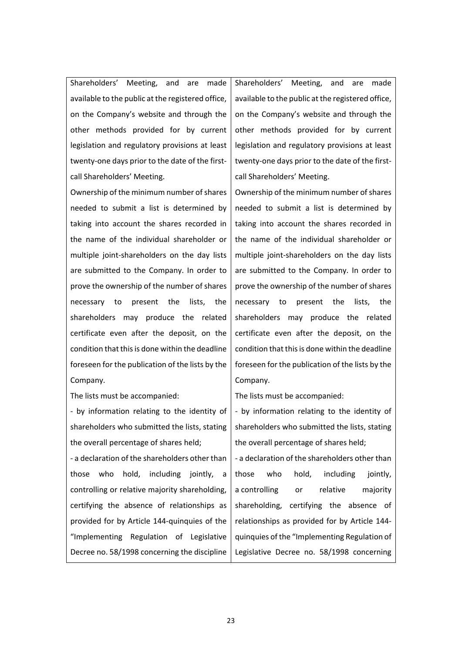Shareholders' Meeting, and are made available to the public at the registered office, on the Company's website and through the other methods provided for by current legislation and regulatory provisions at least twenty-one days prior to the date of the firstcall Shareholders' Meeting.

Ownership of the minimum number of shares needed to submit a list is determined by taking into account the shares recorded in the name of the individual shareholder or multiple joint-shareholders on the day lists are submitted to the Company. In order to prove the ownership of the number of shares necessary to present the lists, the shareholders may produce the related certificate even after the deposit, on the condition that this is done within the deadline foreseen for the publication of the lists by the Company.

The lists must be accompanied:

- by information relating to the identity of shareholders who submitted the lists, stating the overall percentage of shares held;

- a declaration of the shareholders other than those who hold, including jointly, a controlling or relative majority shareholding, certifying the absence of relationships as provided for by Article 144-quinquies of the "Implementing Regulation of Legislative Decree no. 58/1998 concerning the discipline Shareholders' Meeting, and are made available to the public at the registered office, on the Company's website and through the other methods provided for by current legislation and regulatory provisions at least twenty-one days prior to the date of the firstcall Shareholders' Meeting.

Ownership of the minimum number of shares needed to submit a list is determined by taking into account the shares recorded in the name of the individual shareholder or multiple joint-shareholders on the day lists are submitted to the Company. In order to prove the ownership of the number of shares necessary to present the lists, the shareholders may produce the related certificate even after the deposit, on the condition that this is done within the deadline foreseen for the publication of the lists by the Company.

The lists must be accompanied:

- by information relating to the identity of shareholders who submitted the lists, stating the overall percentage of shares held;

- a declaration of the shareholders other than those who hold, including jointly, a controlling or relative majority shareholding, certifying the absence of relationships as provided for by Article 144 quinquies of the "Implementing Regulation of Legislative Decree no. 58/1998 concerning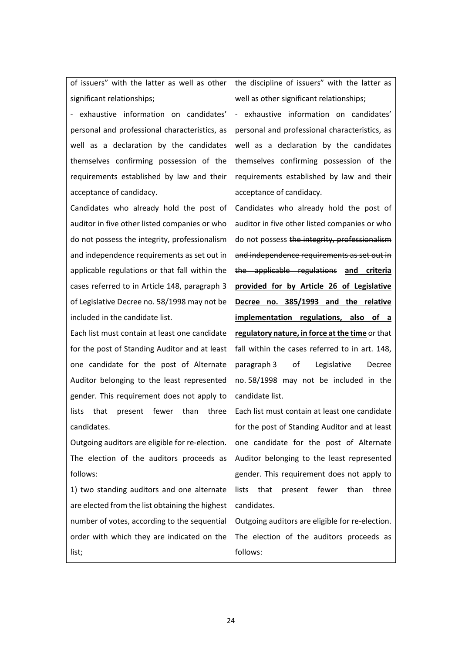of issuers" with the latter as well as other significant relationships;

- exhaustive information on candidates' personal and professional characteristics, as well as a declaration by the candidates themselves confirming possession of the requirements established by law and their acceptance of candidacy.

Candidates who already hold the post of auditor in five other listed companies or who do not possess the integrity, professionalism and independence requirements as set out in applicable regulations or that fall within the cases referred to in Article 148, paragraph 3 of Legislative Decree no. 58/1998 may not be included in the candidate list.

Each list must contain at least one candidate for the post of Standing Auditor and at least one candidate for the post of Alternate Auditor belonging to the least represented gender. This requirement does not apply to lists that present fewer than three candidates.

Outgoing auditors are eligible for re-election. The election of the auditors proceeds as follows:

1) two standing auditors and one alternate are elected from the list obtaining the highest number of votes, according to the sequential order with which they are indicated on the list;

the discipline of issuers" with the latter as well as other significant relationships;

- exhaustive information on candidates' personal and professional characteristics, as well as a declaration by the candidates themselves confirming possession of the requirements established by law and their acceptance of candidacy.

Candidates who already hold the post of auditor in five other listed companies or who do not possess the integrity, professionalism and independence requirements as set out in the applicable regulations **and criteria provided for by Article 26 of Legislative Decree no. 385/1993 and the relative implementation regulations, also of a regulatory nature, in force at the time** or that fall within the cases referred to in art. 148, paragraph 3 of Legislative Decree no. 58/1998 may not be included in the candidate list.

Each list must contain at least one candidate for the post of Standing Auditor and at least one candidate for the post of Alternate Auditor belonging to the least represented gender. This requirement does not apply to lists that present fewer than three candidates.

Outgoing auditors are eligible for re-election. The election of the auditors proceeds as follows: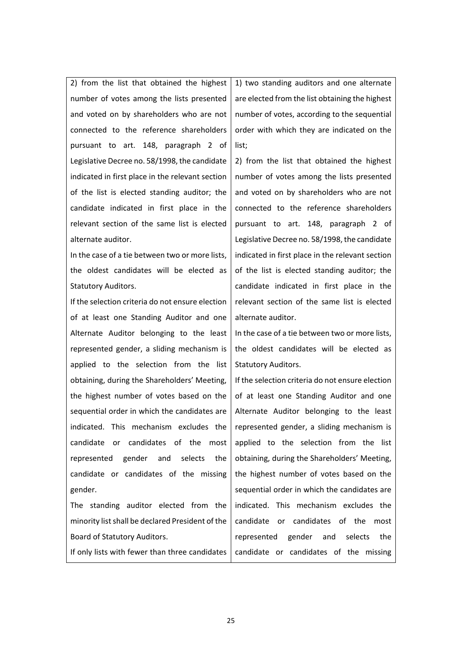2) from the list that obtained the highest number of votes among the lists presented and voted on by shareholders who are not connected to the reference shareholders pursuant to art. 148, paragraph 2 of Legislative Decree no. 58/1998, the candidate indicated in first place in the relevant section of the list is elected standing auditor; the candidate indicated in first place in the relevant section of the same list is elected alternate auditor.

In the case of a tie between two or more lists, the oldest candidates will be elected as Statutory Auditors.

If the selection criteria do not ensure election of at least one Standing Auditor and one Alternate Auditor belonging to the least represented gender, a sliding mechanism is applied to the selection from the list obtaining, during the Shareholders' Meeting, the highest number of votes based on the sequential order in which the candidates are indicated. This mechanism excludes the candidate or candidates of the most represented gender and selects the candidate or candidates of the missing gender.

The standing auditor elected from the minority list shall be declared President of the Board of Statutory Auditors.

If only lists with fewer than three candidates

1) two standing auditors and one alternate are elected from the list obtaining the highest number of votes, according to the sequential order with which they are indicated on the list;

2) from the list that obtained the highest number of votes among the lists presented and voted on by shareholders who are not connected to the reference shareholders pursuant to art. 148, paragraph 2 of Legislative Decree no. 58/1998, the candidate indicated in first place in the relevant section of the list is elected standing auditor; the candidate indicated in first place in the relevant section of the same list is elected alternate auditor.

In the case of a tie between two or more lists, the oldest candidates will be elected as Statutory Auditors.

If the selection criteria do not ensure election of at least one Standing Auditor and one Alternate Auditor belonging to the least represented gender, a sliding mechanism is applied to the selection from the list obtaining, during the Shareholders' Meeting, the highest number of votes based on the sequential order in which the candidates are indicated. This mechanism excludes the candidate or candidates of the most represented gender and selects the candidate or candidates of the missing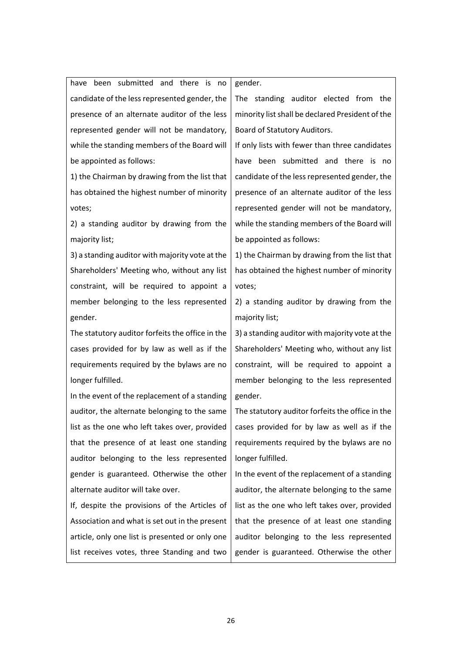have been submitted and there is no candidate of the less represented gender, the presence of an alternate auditor of the less

represented gender will not be mandatory, while the standing members of the Board will be appointed as follows:

1) the Chairman by drawing from the list that has obtained the highest number of minority votes;

2) a standing auditor by drawing from the majority list;

3) a standing auditor with majority vote at the Shareholders' Meeting who, without any list constraint, will be required to appoint a member belonging to the less represented gender.

The statutory auditor forfeits the office in the cases provided for by law as well as if the requirements required by the bylaws are no longer fulfilled.

In the event of the replacement of a standing auditor, the alternate belonging to the same list as the one who left takes over, provided that the presence of at least one standing auditor belonging to the less represented gender is guaranteed. Otherwise the other alternate auditor will take over.

If, despite the provisions of the Articles of Association and what is set out in the present article, only one list is presented or only one list receives votes, three Standing and two gender.

The standing auditor elected from the minority list shall be declared President of the Board of Statutory Auditors.

If only lists with fewer than three candidates have been submitted and there is no candidate of the less represented gender, the presence of an alternate auditor of the less represented gender will not be mandatory, while the standing members of the Board will be appointed as follows:

1) the Chairman by drawing from the list that has obtained the highest number of minority votes;

2) a standing auditor by drawing from the majority list;

3) a standing auditor with majority vote at the Shareholders' Meeting who, without any list constraint, will be required to appoint a member belonging to the less represented gender.

The statutory auditor forfeits the office in the cases provided for by law as well as if the requirements required by the bylaws are no longer fulfilled.

In the event of the replacement of a standing auditor, the alternate belonging to the same list as the one who left takes over, provided that the presence of at least one standing auditor belonging to the less represented gender is guaranteed. Otherwise the other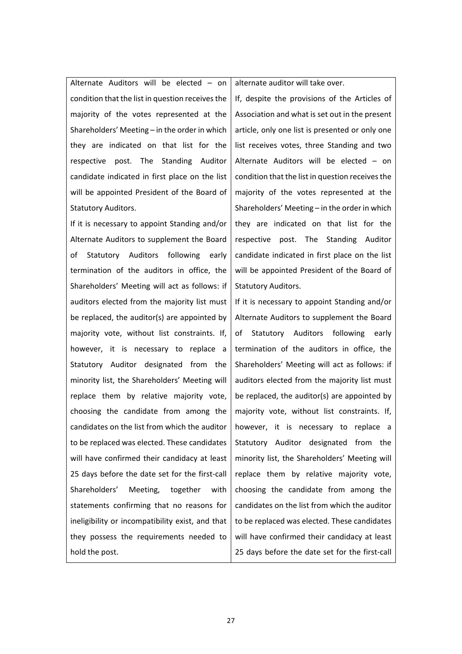Alternate Auditors will be elected – on condition that the list in question receives the majority of the votes represented at the Shareholders' Meeting – in the order in which they are indicated on that list for the respective post. The Standing Auditor candidate indicated in first place on the list will be appointed President of the Board of Statutory Auditors.

If it is necessary to appoint Standing and/or Alternate Auditors to supplement the Board of Statutory Auditors following early termination of the auditors in office, the Shareholders' Meeting will act as follows: if auditors elected from the majority list must be replaced, the auditor(s) are appointed by majority vote, without list constraints. If, however, it is necessary to replace a Statutory Auditor designated from the minority list, the Shareholders' Meeting will replace them by relative majority vote, choosing the candidate from among the candidates on the list from which the auditor to be replaced was elected. These candidates will have confirmed their candidacy at least 25 days before the date set for the first-call Shareholders' Meeting, together with statements confirming that no reasons for ineligibility or incompatibility exist, and that they possess the requirements needed to hold the post.

alternate auditor will take over.

If, despite the provisions of the Articles of Association and what is set out in the present article, only one list is presented or only one list receives votes, three Standing and two Alternate Auditors will be elected – on condition that the list in question receives the majority of the votes represented at the Shareholders' Meeting – in the order in which they are indicated on that list for the respective post. The Standing Auditor candidate indicated in first place on the list will be appointed President of the Board of Statutory Auditors.

If it is necessary to appoint Standing and/or Alternate Auditors to supplement the Board of Statutory Auditors following early termination of the auditors in office, the Shareholders' Meeting will act as follows: if auditors elected from the majority list must be replaced, the auditor(s) are appointed by majority vote, without list constraints. If, however, it is necessary to replace a Statutory Auditor designated from the minority list, the Shareholders' Meeting will replace them by relative majority vote, choosing the candidate from among the candidates on the list from which the auditor to be replaced was elected. These candidates will have confirmed their candidacy at least 25 days before the date set for the first-call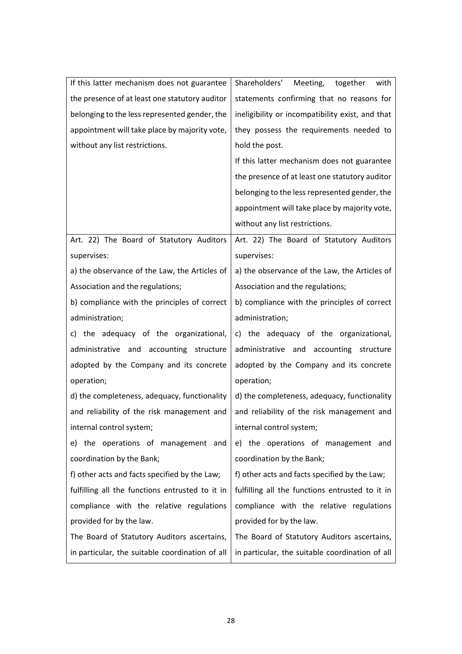| If this latter mechanism does not guarantee     | Shareholders'<br>Meeting,<br>together<br>with    |
|-------------------------------------------------|--------------------------------------------------|
| the presence of at least one statutory auditor  | statements confirming that no reasons for        |
| belonging to the less represented gender, the   | ineligibility or incompatibility exist, and that |
| appointment will take place by majority vote,   | they possess the requirements needed to          |
| without any list restrictions.                  | hold the post.                                   |
|                                                 | If this latter mechanism does not guarantee      |
|                                                 | the presence of at least one statutory auditor   |
|                                                 | belonging to the less represented gender, the    |
|                                                 | appointment will take place by majority vote,    |
|                                                 | without any list restrictions.                   |
| Art. 22) The Board of Statutory Auditors        | Art. 22) The Board of Statutory Auditors         |
| supervises:                                     | supervises:                                      |
| a) the observance of the Law, the Articles of   | a) the observance of the Law, the Articles of    |
| Association and the regulations;                | Association and the regulations;                 |
| b) compliance with the principles of correct    | b) compliance with the principles of correct     |
| administration;                                 | administration;                                  |
| c) the adequacy of the organizational,          | c) the adequacy of the organizational,           |
| administrative and accounting structure         | administrative and accounting structure          |
| adopted by the Company and its concrete         | adopted by the Company and its concrete          |
| operation;                                      | operation;                                       |
| d) the completeness, adequacy, functionality    | d) the completeness, adequacy, functionality     |
| and reliability of the risk management and      | and reliability of the risk management and       |
| internal control system;                        | internal control system;                         |
| e) the operations of management and             | e) the operations of management and              |
| coordination by the Bank;                       | coordination by the Bank;                        |
| f) other acts and facts specified by the Law;   | f) other acts and facts specified by the Law;    |
| fulfilling all the functions entrusted to it in | fulfilling all the functions entrusted to it in  |
| compliance with the relative regulations        | compliance with the relative regulations         |
| provided for by the law.                        | provided for by the law.                         |
| The Board of Statutory Auditors ascertains,     | The Board of Statutory Auditors ascertains,      |
| in particular, the suitable coordination of all | in particular, the suitable coordination of all  |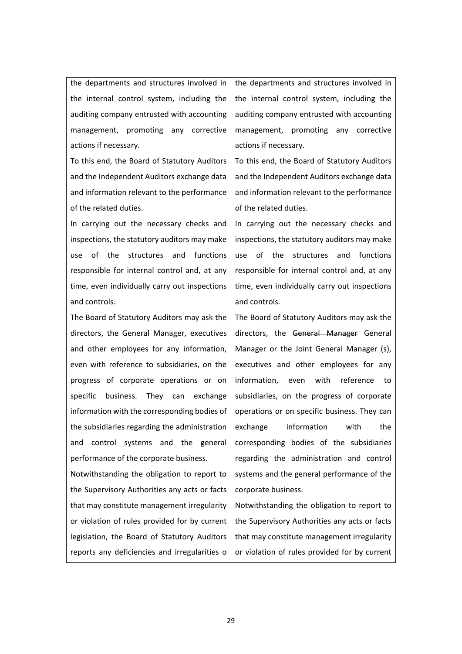the departments and structures involved in the internal control system, including the auditing company entrusted with accounting management, promoting any corrective actions if necessary.

To this end, the Board of Statutory Auditors and the Independent Auditors exchange data and information relevant to the performance of the related duties.

In carrying out the necessary checks and inspections, the statutory auditors may make use of the structures and functions responsible for internal control and, at any time, even individually carry out inspections and controls.

The Board of Statutory Auditors may ask the directors, the General Manager, executives and other employees for any information, even with reference to subsidiaries, on the progress of corporate operations or on specific business. They can exchange information with the corresponding bodies of the subsidiaries regarding the administration and control systems and the general performance of the corporate business.

Notwithstanding the obligation to report to the Supervisory Authorities any acts or facts that may constitute management irregularity or violation of rules provided for by current legislation, the Board of Statutory Auditors reports any deficiencies and irregularities o the departments and structures involved in the internal control system, including the auditing company entrusted with accounting management, promoting any corrective actions if necessary.

To this end, the Board of Statutory Auditors and the Independent Auditors exchange data and information relevant to the performance of the related duties.

In carrying out the necessary checks and inspections, the statutory auditors may make use of the structures and functions responsible for internal control and, at any time, even individually carry out inspections and controls.

The Board of Statutory Auditors may ask the directors, the General Manager General Manager or the Joint General Manager (s), executives and other employees for any information, even with reference to subsidiaries, on the progress of corporate operations or on specific business. They can exchange information with the corresponding bodies of the subsidiaries regarding the administration and control systems and the general performance of the corporate business.

Notwithstanding the obligation to report to the Supervisory Authorities any acts or facts that may constitute management irregularity or violation of rules provided for by current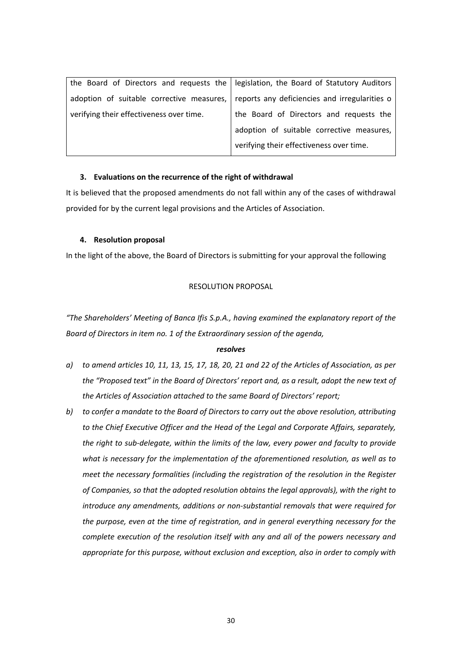| the Board of Directors and requests the   legislation, the Board of Statutory Auditors |                                               |
|----------------------------------------------------------------------------------------|-----------------------------------------------|
| adoption of suitable corrective measures,                                              | reports any deficiencies and irregularities o |
| verifying their effectiveness over time.                                               | the Board of Directors and requests the       |
|                                                                                        | adoption of suitable corrective measures,     |
|                                                                                        | verifying their effectiveness over time.      |

### **3. Evaluations on the recurrence of the right of withdrawal**

It is believed that the proposed amendments do not fall within any of the cases of withdrawal provided for by the current legal provisions and the Articles of Association.

### **4. Resolution proposal**

In the light of the above, the Board of Directors is submitting for your approval the following

### RESOLUTION PROPOSAL

*"The Shareholders' Meeting of Banca Ifis S.p.A., having examined the explanatory report of the Board of Directors in item no. 1 of the Extraordinary session of the agenda,* 

### *resolves*

- *a) to amend articles 10, 11, 13, 15, 17, 18, 20, 21 and 22 of the Articles of Association, as per the "Proposed text" in the Board of Directors' report and, as a result, adopt the new text of the Articles of Association attached to the same Board of Directors' report;*
- *b) to confer a mandate to the Board of Directors to carry out the above resolution, attributing to the Chief Executive Officer and the Head of the Legal and Corporate Affairs, separately, the right to sub-delegate, within the limits of the law, every power and faculty to provide what is necessary for the implementation of the aforementioned resolution, as well as to meet the necessary formalities (including the registration of the resolution in the Register of Companies, so that the adopted resolution obtains the legal approvals), with the right to introduce any amendments, additions or non-substantial removals that were required for the purpose, even at the time of registration, and in general everything necessary for the complete execution of the resolution itself with any and all of the powers necessary and appropriate for this purpose, without exclusion and exception, also in order to comply with*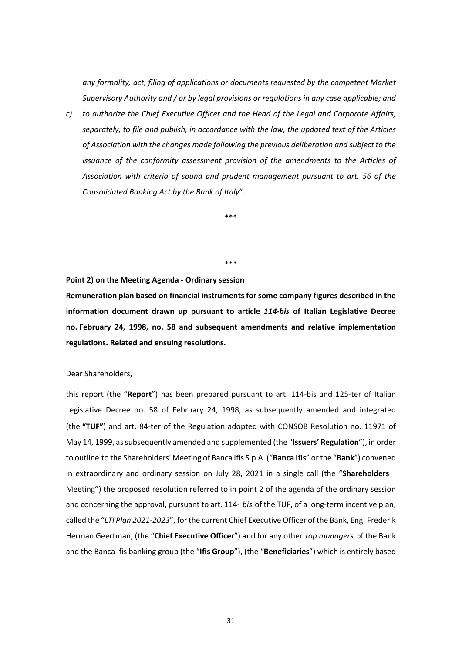*any formality, act, filing of applications or documents requested by the competent Market Supervisory Authority and / or by legal provisions or regulations in any case applicable; and* 

*c) to authorize the Chief Executive Officer and the Head of the Legal and Corporate Affairs, separately, to file and publish, in accordance with the law, the updated text of the Articles of Association with the changes made following the previous deliberation and subject to the issuance of the conformity assessment provision of the amendments to the Articles of Association with criteria of sound and prudent management pursuant to art. 56 of the Consolidated Banking Act by the Bank of Italy*"*.* 

\*\*\*

#### \*\*\*

### **Point 2) on the Meeting Agenda - Ordinary session**

**Remuneration plan based on financial instruments for some company figures described in the information document drawn up pursuant to article** *114-bis* **of Italian Legislative Decree no. February 24, 1998, no. 58 and subsequent amendments and relative implementation regulations. Related and ensuing resolutions.** 

Dear Shareholders,

this report (the "**Report**") has been prepared pursuant to art. 114-bis and 125-ter of Italian Legislative Decree no. 58 of February 24, 1998, as subsequently amended and integrated (the **"TUF"**) and art. 84-ter of the Regulation adopted with CONSOB Resolution no. 11971 of May 14, 1999, as subsequently amended and supplemented (the "**Issuers' Regulation**"), in order to outline to the Shareholders' Meeting of Banca Ifis S.p.A. ("**Banca Ifis**" or the "**Bank**") convened in extraordinary and ordinary session on July 28, 2021 in a single call (the "**Shareholders** ' Meeting") the proposed resolution referred to in point 2 of the agenda of the ordinary session and concerning the approval, pursuant to art. 114- *bis* of the TUF, of a long-term incentive plan, called the "*LTI Plan 2021-2023*", for the current Chief Executive Officer of the Bank, Eng. Frederik Herman Geertman, (the "**Chief Executive Officer**") and for any other *top managers* of the Bank and the Banca Ifis banking group (the "**Ifis Group**"), (the "**Beneficiaries**") which is entirely based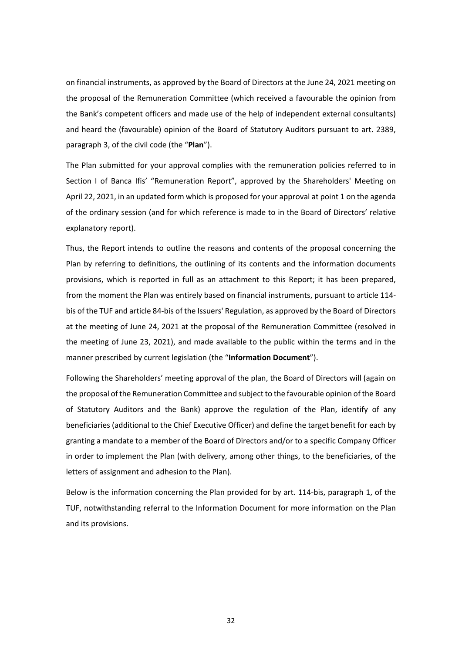on financial instruments, as approved by the Board of Directors at the June 24, 2021 meeting on the proposal of the Remuneration Committee (which received a favourable the opinion from the Bank's competent officers and made use of the help of independent external consultants) and heard the (favourable) opinion of the Board of Statutory Auditors pursuant to art. 2389, paragraph 3, of the civil code (the "**Plan**").

The Plan submitted for your approval complies with the remuneration policies referred to in Section I of Banca Ifis' "Remuneration Report", approved by the Shareholders' Meeting on April 22, 2021, in an updated form which is proposed for your approval at point 1 on the agenda of the ordinary session (and for which reference is made to in the Board of Directors' relative explanatory report).

Thus, the Report intends to outline the reasons and contents of the proposal concerning the Plan by referring to definitions, the outlining of its contents and the information documents provisions, which is reported in full as an attachment to this Report; it has been prepared, from the moment the Plan was entirely based on financial instruments, pursuant to article 114 bis of the TUF and article 84-bis of the Issuers' Regulation, as approved by the Board of Directors at the meeting of June 24, 2021 at the proposal of the Remuneration Committee (resolved in the meeting of June 23, 2021), and made available to the public within the terms and in the manner prescribed by current legislation (the "**Information Document**").

Following the Shareholders' meeting approval of the plan, the Board of Directors will (again on the proposal of the Remuneration Committee and subject to the favourable opinion of the Board of Statutory Auditors and the Bank) approve the regulation of the Plan, identify of any beneficiaries (additional to the Chief Executive Officer) and define the target benefit for each by granting a mandate to a member of the Board of Directors and/or to a specific Company Officer in order to implement the Plan (with delivery, among other things, to the beneficiaries, of the letters of assignment and adhesion to the Plan).

Below is the information concerning the Plan provided for by art. 114-bis, paragraph 1, of the TUF, notwithstanding referral to the Information Document for more information on the Plan and its provisions.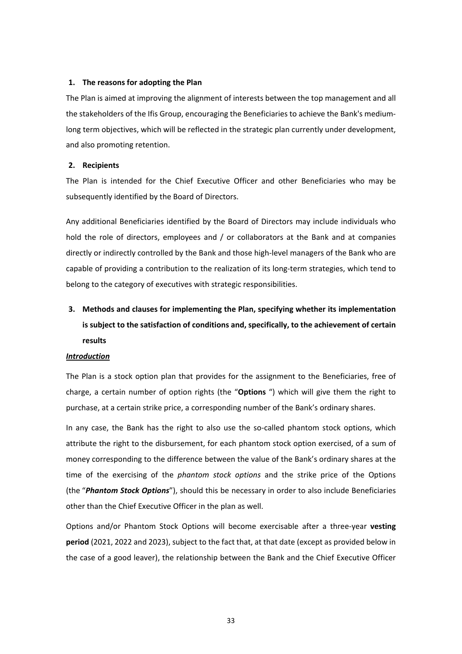### **1. The reasons for adopting the Plan**

The Plan is aimed at improving the alignment of interests between the top management and all the stakeholders of the Ifis Group, encouraging the Beneficiaries to achieve the Bank's mediumlong term objectives, which will be reflected in the strategic plan currently under development, and also promoting retention.

### **2. Recipients**

The Plan is intended for the Chief Executive Officer and other Beneficiaries who may be subsequently identified by the Board of Directors.

Any additional Beneficiaries identified by the Board of Directors may include individuals who hold the role of directors, employees and / or collaborators at the Bank and at companies directly or indirectly controlled by the Bank and those high-level managers of the Bank who are capable of providing a contribution to the realization of its long-term strategies, which tend to belong to the category of executives with strategic responsibilities.

# **3. Methods and clauses for implementing the Plan, specifying whether its implementation is subject to the satisfaction of conditions and, specifically, to the achievement of certain results**

### *Introduction*

The Plan is a stock option plan that provides for the assignment to the Beneficiaries, free of charge, a certain number of option rights (the "**Options** ") which will give them the right to purchase, at a certain strike price, a corresponding number of the Bank's ordinary shares.

In any case, the Bank has the right to also use the so-called phantom stock options, which attribute the right to the disbursement, for each phantom stock option exercised, of a sum of money corresponding to the difference between the value of the Bank's ordinary shares at the time of the exercising of the *phantom stock options* and the strike price of the Options (the "*Phantom Stock Options*"), should this be necessary in order to also include Beneficiaries other than the Chief Executive Officer in the plan as well.

Options and/or Phantom Stock Options will become exercisable after a three-year **vesting period** (2021, 2022 and 2023), subject to the fact that, at that date (except as provided below in the case of a good leaver), the relationship between the Bank and the Chief Executive Officer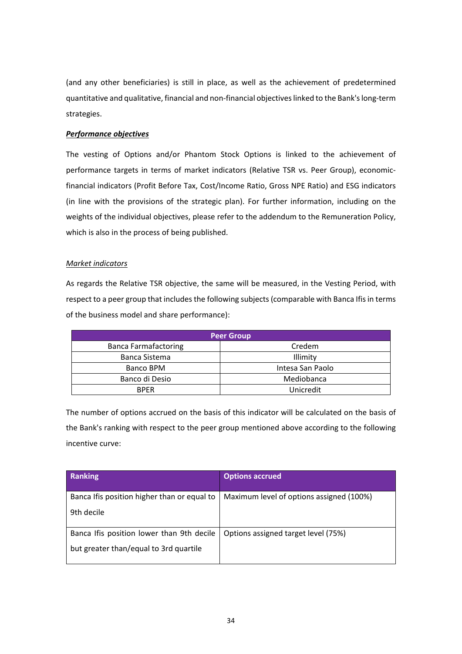(and any other beneficiaries) is still in place, as well as the achievement of predetermined quantitative and qualitative, financial and non-financial objectives linked to the Bank's long-term strategies.

### *Performance objectives*

The vesting of Options and/or Phantom Stock Options is linked to the achievement of performance targets in terms of market indicators (Relative TSR vs. Peer Group), economicfinancial indicators (Profit Before Tax, Cost/Income Ratio, Gross NPE Ratio) and ESG indicators (in line with the provisions of the strategic plan). For further information, including on the weights of the individual objectives, please refer to the addendum to the Remuneration Policy, which is also in the process of being published.

### *Market indicators*

As regards the Relative TSR objective, the same will be measured, in the Vesting Period, with respect to a peer group that includes the following subjects (comparable with Banca Ifis in terms of the business model and share performance):

| <b>Peer Group</b>           |                  |
|-----------------------------|------------------|
| <b>Banca Farmafactoring</b> | Credem           |
| Banca Sistema               | Illimity         |
| Banco BPM                   | Intesa San Paolo |
| Banco di Desio              | Mediobanca       |
| <b>RPFR</b>                 | Unicredit        |

The number of options accrued on the basis of this indicator will be calculated on the basis of the Bank's ranking with respect to the peer group mentioned above according to the following incentive curve:

| <b>Ranking</b>                              | <b>Options accrued</b>                   |
|---------------------------------------------|------------------------------------------|
| Banca Ifis position higher than or equal to | Maximum level of options assigned (100%) |
| 9th decile                                  |                                          |
| Banca Ifis position lower than 9th decile   | Options assigned target level (75%)      |
| but greater than/equal to 3rd quartile      |                                          |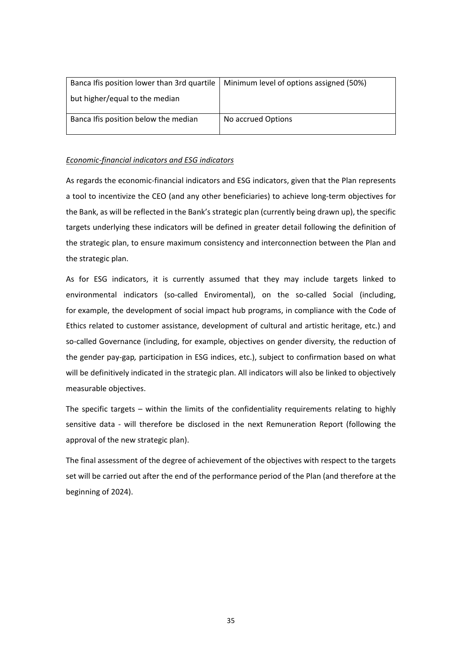| Banca Ifis position lower than 3rd quartile | Minimum level of options assigned (50%) |
|---------------------------------------------|-----------------------------------------|
| but higher/equal to the median              |                                         |
| Banca Ifis position below the median        | No accrued Options                      |

### *Economic-financial indicators and ESG indicators*

As regards the economic-financial indicators and ESG indicators, given that the Plan represents a tool to incentivize the CEO (and any other beneficiaries) to achieve long-term objectives for the Bank, as will be reflected in the Bank's strategic plan (currently being drawn up), the specific targets underlying these indicators will be defined in greater detail following the definition of the strategic plan, to ensure maximum consistency and interconnection between the Plan and the strategic plan.

As for ESG indicators, it is currently assumed that they may include targets linked to environmental indicators (so-called Enviromental), on the so-called Social (including, for example, the development of social impact hub programs, in compliance with the Code of Ethics related to customer assistance, development of cultural and artistic heritage, etc.) and so-called Governance (including, for example, objectives on gender diversity*,* the reduction of the gender pay-gap*,* participation in ESG indices, etc.), subject to confirmation based on what will be definitively indicated in the strategic plan. All indicators will also be linked to objectively measurable objectives.

The specific targets – within the limits of the confidentiality requirements relating to highly sensitive data - will therefore be disclosed in the next Remuneration Report (following the approval of the new strategic plan).

The final assessment of the degree of achievement of the objectives with respect to the targets set will be carried out after the end of the performance period of the Plan (and therefore at the beginning of 2024).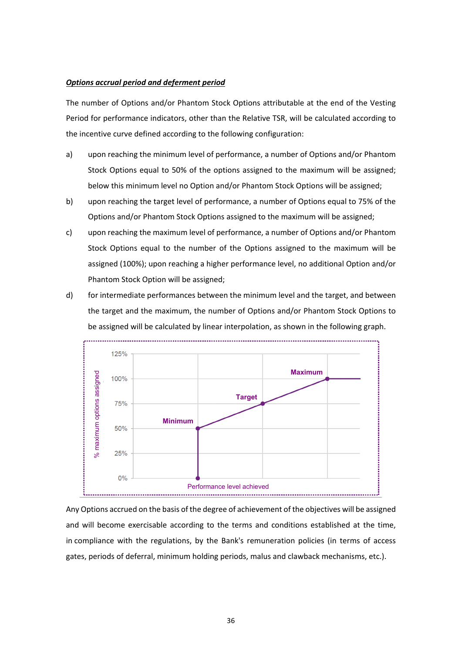### *Options accrual period and deferment period*

The number of Options and/or Phantom Stock Options attributable at the end of the Vesting Period for performance indicators, other than the Relative TSR, will be calculated according to the incentive curve defined according to the following configuration:

- a) upon reaching the minimum level of performance, a number of Options and/or Phantom Stock Options equal to 50% of the options assigned to the maximum will be assigned; below this minimum level no Option and/or Phantom Stock Options will be assigned;
- b) upon reaching the target level of performance, a number of Options equal to 75% of the Options and/or Phantom Stock Options assigned to the maximum will be assigned;
- c) upon reaching the maximum level of performance, a number of Options and/or Phantom Stock Options equal to the number of the Options assigned to the maximum will be assigned (100%); upon reaching a higher performance level, no additional Option and/or Phantom Stock Option will be assigned;
- d) for intermediate performances between the minimum level and the target, and between the target and the maximum, the number of Options and/or Phantom Stock Options to be assigned will be calculated by linear interpolation, as shown in the following graph.



Any Options accrued on the basis of the degree of achievement of the objectives will be assigned and will become exercisable according to the terms and conditions established at the time, in compliance with the regulations, by the Bank's remuneration policies (in terms of access gates, periods of deferral, minimum holding periods, malus and clawback mechanisms, etc.).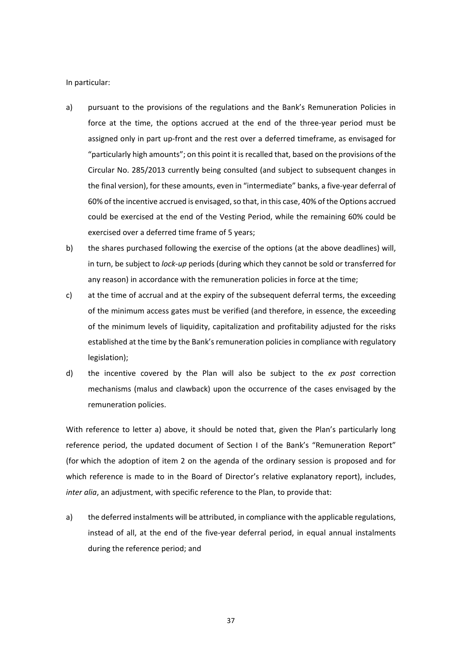In particular:

- a) pursuant to the provisions of the regulations and the Bank's Remuneration Policies in force at the time, the options accrued at the end of the three-year period must be assigned only in part up-front and the rest over a deferred timeframe, as envisaged for "particularly high amounts"; on this point it is recalled that, based on the provisions of the Circular No. 285/2013 currently being consulted (and subject to subsequent changes in the final version), for these amounts, even in "intermediate" banks, a five-year deferral of 60% of the incentive accrued is envisaged, so that, in this case, 40% of the Options accrued could be exercised at the end of the Vesting Period, while the remaining 60% could be exercised over a deferred time frame of 5 years;
- b) the shares purchased following the exercise of the options (at the above deadlines) will, in turn, be subject to *lock-up* periods (during which they cannot be sold or transferred for any reason) in accordance with the remuneration policies in force at the time;
- c) at the time of accrual and at the expiry of the subsequent deferral terms, the exceeding of the minimum access gates must be verified (and therefore, in essence, the exceeding of the minimum levels of liquidity, capitalization and profitability adjusted for the risks established at the time by the Bank's remuneration policies in compliance with regulatory legislation);
- d) the incentive covered by the Plan will also be subject to the *ex post* correction mechanisms (malus and clawback) upon the occurrence of the cases envisaged by the remuneration policies.

With reference to letter a) above, it should be noted that, given the Plan's particularly long reference period, the updated document of Section I of the Bank's "Remuneration Report" (for which the adoption of item 2 on the agenda of the ordinary session is proposed and for which reference is made to in the Board of Director's relative explanatory report), includes, *inter alia*, an adjustment, with specific reference to the Plan, to provide that:

a) the deferred instalments will be attributed, in compliance with the applicable regulations, instead of all, at the end of the five-year deferral period, in equal annual instalments during the reference period; and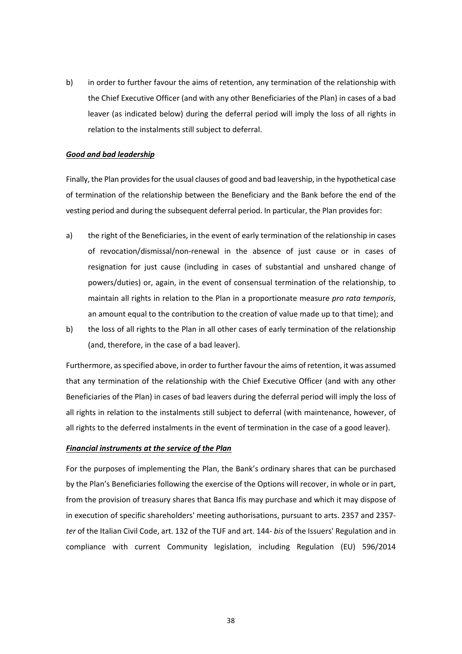b) in order to further favour the aims of retention, any termination of the relationship with the Chief Executive Officer (and with any other Beneficiaries of the Plan) in cases of a bad leaver (as indicated below) during the deferral period will imply the loss of all rights in relation to the instalments still subject to deferral.

### *Good and bad leadership*

Finally, the Plan provides for the usual clauses of good and bad leavership, in the hypothetical case of termination of the relationship between the Beneficiary and the Bank before the end of the vesting period and during the subsequent deferral period. In particular, the Plan provides for:

- a) the right of the Beneficiaries, in the event of early termination of the relationship in cases of revocation/dismissal/non-renewal in the absence of just cause or in cases of resignation for just cause (including in cases of substantial and unshared change of powers/duties) or, again, in the event of consensual termination of the relationship, to maintain all rights in relation to the Plan in a proportionate measure *pro rata temporis*, an amount equal to the contribution to the creation of value made up to that time); and
- b) the loss of all rights to the Plan in all other cases of early termination of the relationship (and, therefore, in the case of a bad leaver).

Furthermore, as specified above, in order to further favour the aims of retention, it was assumed that any termination of the relationship with the Chief Executive Officer (and with any other Beneficiaries of the Plan) in cases of bad leavers during the deferral period will imply the loss of all rights in relation to the instalments still subject to deferral (with maintenance, however, of all rights to the deferred instalments in the event of termination in the case of a good leaver).

### *Financial instruments at the service of the Plan*

For the purposes of implementing the Plan, the Bank's ordinary shares that can be purchased by the Plan's Beneficiaries following the exercise of the Options will recover, in whole or in part, from the provision of treasury shares that Banca Ifis may purchase and which it may dispose of in execution of specific shareholders' meeting authorisations, pursuant to arts. 2357 and 2357 *ter* of the Italian Civil Code, art. 132 of the TUF and art. 144- *bis* of the Issuers' Regulation and in compliance with current Community legislation, including Regulation (EU) 596/2014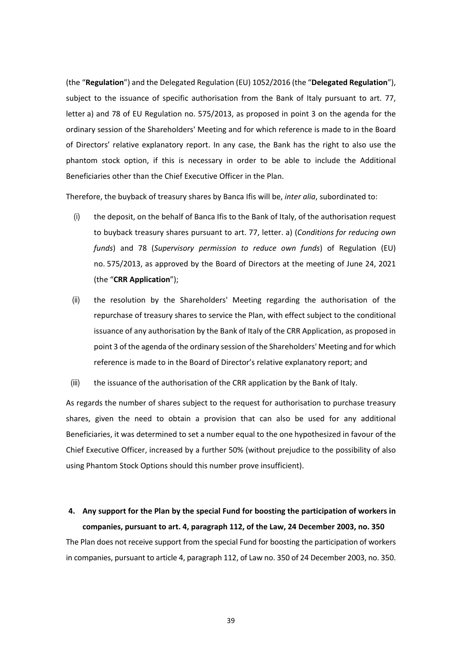(the "**Regulation**") and the Delegated Regulation (EU) 1052/2016 (the "**Delegated Regulation**"), subject to the issuance of specific authorisation from the Bank of Italy pursuant to art. 77, letter a) and 78 of EU Regulation no. 575/2013, as proposed in point 3 on the agenda for the ordinary session of the Shareholders' Meeting and for which reference is made to in the Board of Directors' relative explanatory report. In any case, the Bank has the right to also use the phantom stock option, if this is necessary in order to be able to include the Additional Beneficiaries other than the Chief Executive Officer in the Plan.

Therefore, the buyback of treasury shares by Banca Ifis will be, *inter alia*, subordinated to:

- (i) the deposit, on the behalf of Banca Ifis to the Bank of Italy, of the authorisation request to buyback treasury shares pursuant to art. 77, letter. a) (*Conditions for reducing own funds*) and 78 (*Supervisory permission to reduce own funds*) of Regulation (EU) no. 575/2013, as approved by the Board of Directors at the meeting of June 24, 2021 (the "**CRR Application**");
- (ii) the resolution by the Shareholders' Meeting regarding the authorisation of the repurchase of treasury shares to service the Plan, with effect subject to the conditional issuance of any authorisation by the Bank of Italy of the CRR Application, as proposed in point 3 of the agenda of the ordinary session of the Shareholders' Meeting and for which reference is made to in the Board of Director's relative explanatory report; and
- (iii) the issuance of the authorisation of the CRR application by the Bank of Italy.

As regards the number of shares subject to the request for authorisation to purchase treasury shares, given the need to obtain a provision that can also be used for any additional Beneficiaries, it was determined to set a number equal to the one hypothesized in favour of the Chief Executive Officer, increased by a further 50% (without prejudice to the possibility of also using Phantom Stock Options should this number prove insufficient).

# **4. Any support for the Plan by the special Fund for boosting the participation of workers in companies, pursuant to art. 4, paragraph 112, of the Law, 24 December 2003, no. 350**

The Plan does not receive support from the special Fund for boosting the participation of workers in companies, pursuant to article 4, paragraph 112, of Law no. 350 of 24 December 2003, no. 350.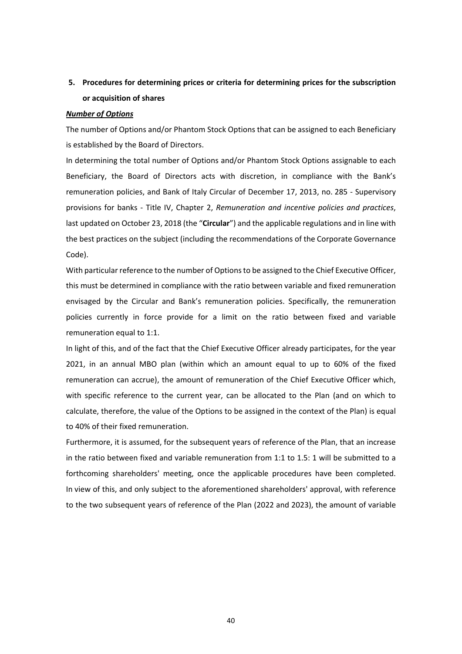# **5. Procedures for determining prices or criteria for determining prices for the subscription or acquisition of shares**

### *Number of Options*

The number of Options and/or Phantom Stock Options that can be assigned to each Beneficiary is established by the Board of Directors.

In determining the total number of Options and/or Phantom Stock Options assignable to each Beneficiary, the Board of Directors acts with discretion, in compliance with the Bank's remuneration policies, and Bank of Italy Circular of December 17, 2013, no. 285 - Supervisory provisions for banks - Title IV, Chapter 2, *Remuneration and incentive policies and practices*, last updated on October 23, 2018 (the "**Circular**") and the applicable regulations and in line with the best practices on the subject (including the recommendations of the Corporate Governance Code).

With particular reference to the number of Options to be assigned to the Chief Executive Officer, this must be determined in compliance with the ratio between variable and fixed remuneration envisaged by the Circular and Bank's remuneration policies. Specifically, the remuneration policies currently in force provide for a limit on the ratio between fixed and variable remuneration equal to 1:1.

In light of this, and of the fact that the Chief Executive Officer already participates, for the year 2021, in an annual MBO plan (within which an amount equal to up to 60% of the fixed remuneration can accrue), the amount of remuneration of the Chief Executive Officer which, with specific reference to the current year, can be allocated to the Plan (and on which to calculate, therefore, the value of the Options to be assigned in the context of the Plan) is equal to 40% of their fixed remuneration.

Furthermore, it is assumed, for the subsequent years of reference of the Plan, that an increase in the ratio between fixed and variable remuneration from 1:1 to 1.5: 1 will be submitted to a forthcoming shareholders' meeting, once the applicable procedures have been completed. In view of this, and only subject to the aforementioned shareholders' approval, with reference to the two subsequent years of reference of the Plan (2022 and 2023), the amount of variable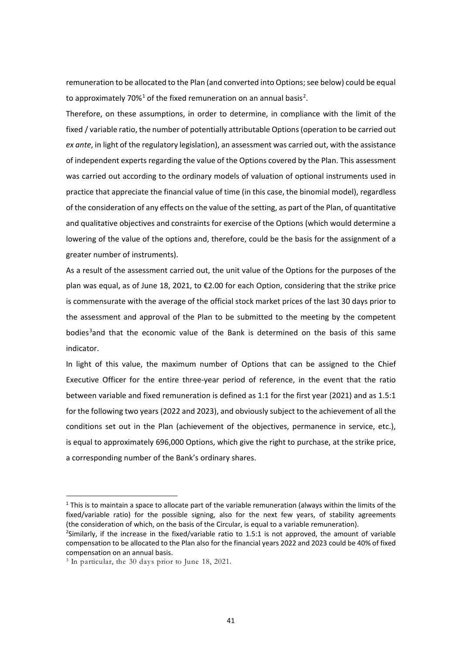remuneration to be allocated to the Plan (and converted into Options; see below) could be equal to approximately 70%<sup>[1](#page-40-0)</sup> of the fixed remuneration on an annual basis<sup>[2](#page-40-1)</sup>.

Therefore, on these assumptions, in order to determine, in compliance with the limit of the fixed / variable ratio, the number of potentially attributable Options (operation to be carried out *ex ante*, in light of the regulatory legislation), an assessment was carried out, with the assistance of independent experts regarding the value of the Options covered by the Plan. This assessment was carried out according to the ordinary models of valuation of optional instruments used in practice that appreciate the financial value of time (in this case, the binomial model), regardless of the consideration of any effects on the value of the setting, as part of the Plan, of quantitative and qualitative objectives and constraints for exercise of the Options (which would determine a lowering of the value of the options and, therefore, could be the basis for the assignment of a greater number of instruments).

As a result of the assessment carried out, the unit value of the Options for the purposes of the plan was equal, as of June 18, 2021, to €2.00 for each Option, considering that the strike price is commensurate with the average of the official stock market prices of the last 30 days prior to the assessment and approval of the Plan to be submitted to the meeting by the competent bodies<sup>[3](#page-40-2)</sup>and that the economic value of the Bank is determined on the basis of this same indicator.

In light of this value, the maximum number of Options that can be assigned to the Chief Executive Officer for the entire three-year period of reference, in the event that the ratio between variable and fixed remuneration is defined as 1:1 for the first year (2021) and as 1.5:1 for the following two years (2022 and 2023), and obviously subject to the achievement of all the conditions set out in the Plan (achievement of the objectives, permanence in service, etc.), is equal to approximately 696,000 Options, which give the right to purchase, at the strike price, a corresponding number of the Bank's ordinary shares.

<span id="page-40-0"></span> $1$  This is to maintain a space to allocate part of the variable remuneration (always within the limits of the fixed/variable ratio) for the possible signing, also for the next few years, of stability agreements (the consideration of which, on the basis of the Circular, is equal to a variable remuneration).

<span id="page-40-1"></span> $<sup>2</sup>$ Similarly, if the increase in the fixed/variable ratio to 1.5:1 is not approved, the amount of variable</sup> compensation to be allocated to the Plan also for the financial years 2022 and 2023 could be 40% of fixed compensation on an annual basis.

<span id="page-40-2"></span><sup>3</sup> In particular, the 30 days prior to June 18, 2021.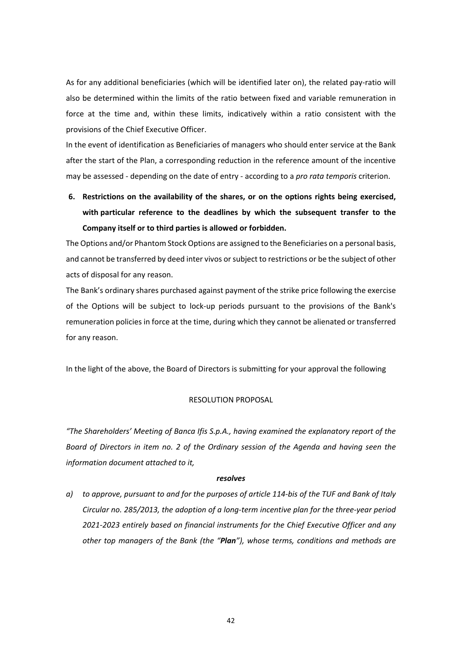As for any additional beneficiaries (which will be identified later on), the related pay-ratio will also be determined within the limits of the ratio between fixed and variable remuneration in force at the time and, within these limits, indicatively within a ratio consistent with the provisions of the Chief Executive Officer.

In the event of identification as Beneficiaries of managers who should enter service at the Bank after the start of the Plan, a corresponding reduction in the reference amount of the incentive may be assessed - depending on the date of entry - according to a *pro rata temporis* criterion.

**6. Restrictions on the availability of the shares, or on the options rights being exercised, with particular reference to the deadlines by which the subsequent transfer to the Company itself or to third parties is allowed or forbidden.**

The Options and/or Phantom Stock Options are assigned to the Beneficiaries on a personal basis, and cannot be transferred by deed inter vivos or subject to restrictions or be the subject of other acts of disposal for any reason.

The Bank's ordinary shares purchased against payment of the strike price following the exercise of the Options will be subject to lock-up periods pursuant to the provisions of the Bank's remuneration policies in force at the time, during which they cannot be alienated or transferred for any reason.

In the light of the above, the Board of Directors is submitting for your approval the following

### RESOLUTION PROPOSAL

*"The Shareholders' Meeting of Banca Ifis S.p.A., having examined the explanatory report of the Board of Directors in item no. 2 of the Ordinary session of the Agenda and having seen the information document attached to it,*

#### *resolves*

*a) to approve, pursuant to and for the purposes of article 114-bis of the TUF and Bank of Italy Circular no. 285/2013, the adoption of a long-term incentive plan for the three-year period 2021-2023 entirely based on financial instruments for the Chief Executive Officer and any other top managers of the Bank (the "Plan"), whose terms, conditions and methods are*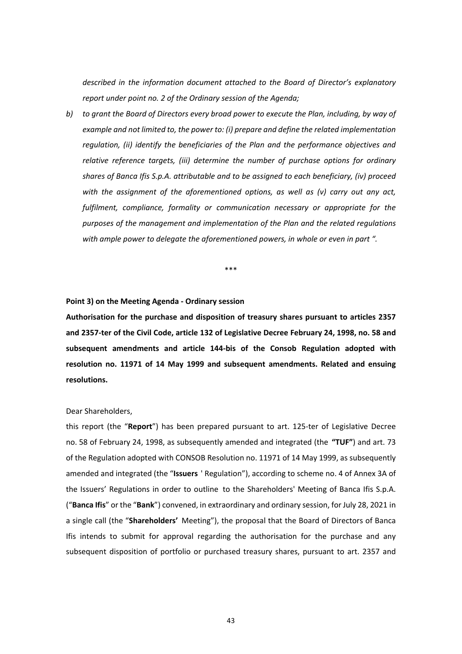*described in the information document attached to the Board of Director's explanatory report under point no. 2 of the Ordinary session of the Agenda;*

*b) to grant the Board of Directors every broad power to execute the Plan, including, by way of example and not limited to, the power to: (i) prepare and define the related implementation regulation, (ii) identify the beneficiaries of the Plan and the performance objectives and relative reference targets, (iii) determine the number of purchase options for ordinary shares of Banca Ifis S.p.A. attributable and to be assigned to each beneficiary, (iv) proceed with the assignment of the aforementioned options, as well as (v) carry out any act, fulfilment, compliance, formality or communication necessary or appropriate for the purposes of the management and implementation of the Plan and the related regulations with ample power to delegate the aforementioned powers, in whole or even in part ".*

\*\*\*

### **Point 3) on the Meeting Agenda - Ordinary session**

**Authorisation for the purchase and disposition of treasury shares pursuant to articles 2357 and 2357-ter of the Civil Code, article 132 of Legislative Decree February 24, 1998, no. 58 and subsequent amendments and article 144-bis of the Consob Regulation adopted with resolution no. 11971 of 14 May 1999 and subsequent amendments. Related and ensuing resolutions.** 

### Dear Shareholders,

this report (the "**Report**") has been prepared pursuant to art. 125-ter of Legislative Decree no. 58 of February 24, 1998, as subsequently amended and integrated (the **"TUF"**) and art. 73 of the Regulation adopted with CONSOB Resolution no. 11971 of 14 May 1999, as subsequently amended and integrated (the "**Issuers** ' Regulation"), according to scheme no. 4 of Annex 3A of the Issuers' Regulations in order to outline to the Shareholders' Meeting of Banca Ifis S.p.A. ("**Banca Ifis**" or the "**Bank**") convened, in extraordinary and ordinary session, for July 28, 2021 in a single call (the "**Shareholders'** Meeting"), the proposal that the Board of Directors of Banca Ifis intends to submit for approval regarding the authorisation for the purchase and any subsequent disposition of portfolio or purchased treasury shares, pursuant to art. 2357 and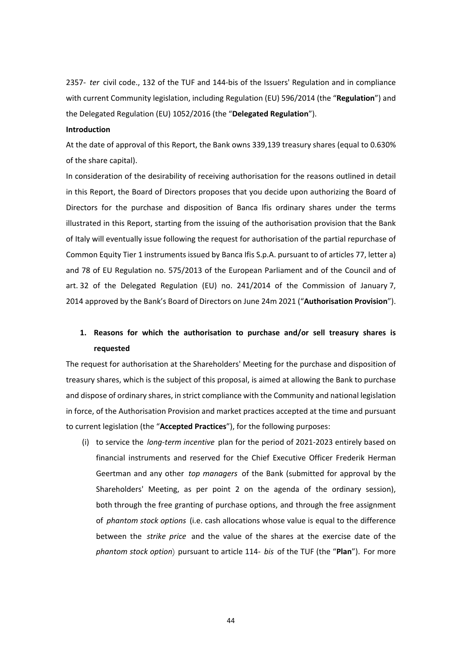2357- *ter* civil code., 132 of the TUF and 144-bis of the Issuers' Regulation and in compliance with current Community legislation, including Regulation (EU) 596/2014 (the "**Regulation**") and the Delegated Regulation (EU) 1052/2016 (the "**Delegated Regulation**").

#### **Introduction**

At the date of approval of this Report, the Bank owns 339,139 treasury shares (equal to 0.630% of the share capital).

In consideration of the desirability of receiving authorisation for the reasons outlined in detail in this Report, the Board of Directors proposes that you decide upon authorizing the Board of Directors for the purchase and disposition of Banca Ifis ordinary shares under the terms illustrated in this Report, starting from the issuing of the authorisation provision that the Bank of Italy will eventually issue following the request for authorisation of the partial repurchase of Common Equity Tier 1 instruments issued by Banca Ifis S.p.A. pursuant to of articles 77, letter a) and 78 of EU Regulation no. 575/2013 of the European Parliament and of the Council and of art. 32 of the Delegated Regulation (EU) no. 241/2014 of the Commission of January 7, 2014 approved by the Bank's Board of Directors on June 24m 2021 ("**Authorisation Provision**").

# **1. Reasons for which the authorisation to purchase and/or sell treasury shares is requested**

The request for authorisation at the Shareholders' Meeting for the purchase and disposition of treasury shares, which is the subject of this proposal, is aimed at allowing the Bank to purchase and dispose of ordinary shares, in strict compliance with the Community and national legislation in force, of the Authorisation Provision and market practices accepted at the time and pursuant to current legislation (the "**Accepted Practices**"), for the following purposes:

(i) to service the *long-term incentive* plan for the period of 2021-2023 entirely based on financial instruments and reserved for the Chief Executive Officer Frederik Herman Geertman and any other *top managers* of the Bank (submitted for approval by the Shareholders' Meeting, as per point 2 on the agenda of the ordinary session), both through the free granting of purchase options, and through the free assignment of *phantom stock options* (i.e. cash allocations whose value is equal to the difference between the *strike price* and the value of the shares at the exercise date of the *phantom stock option*) pursuant to article 114- *bis* of the TUF (the "**Plan**"). For more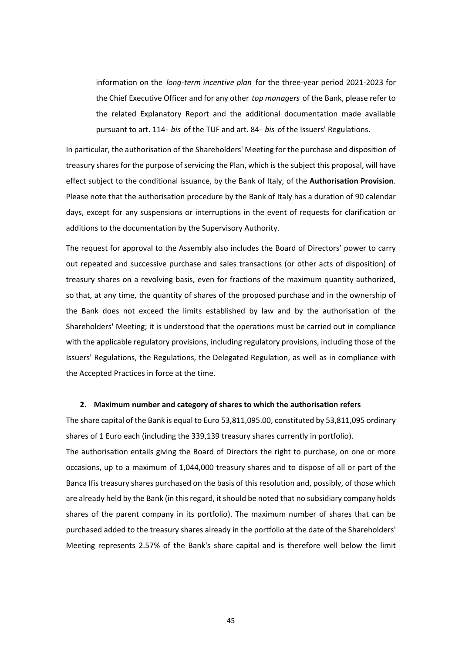information on the *long-term incentive plan* for the three-year period 2021-2023 for the Chief Executive Officer and for any other *top managers* of the Bank, please refer to the related Explanatory Report and the additional documentation made available pursuant to art. 114- *bis* of the TUF and art. 84- *bis* of the Issuers' Regulations.

In particular, the authorisation of the Shareholders' Meeting for the purchase and disposition of treasury shares for the purpose of servicing the Plan, which is the subject this proposal, will have effect subject to the conditional issuance, by the Bank of Italy, of the **Authorisation Provision**. Please note that the authorisation procedure by the Bank of Italy has a duration of 90 calendar days, except for any suspensions or interruptions in the event of requests for clarification or additions to the documentation by the Supervisory Authority.

The request for approval to the Assembly also includes the Board of Directors' power to carry out repeated and successive purchase and sales transactions (or other acts of disposition) of treasury shares on a revolving basis, even for fractions of the maximum quantity authorized, so that, at any time, the quantity of shares of the proposed purchase and in the ownership of the Bank does not exceed the limits established by law and by the authorisation of the Shareholders' Meeting; it is understood that the operations must be carried out in compliance with the applicable regulatory provisions, including regulatory provisions, including those of the Issuers' Regulations, the Regulations, the Delegated Regulation, as well as in compliance with the Accepted Practices in force at the time.

### **2. Maximum number and category of shares to which the authorisation refers**

The share capital of the Bank is equal to Euro 53,811,095.00, constituted by 53,811,095 ordinary shares of 1 Euro each (including the 339,139 treasury shares currently in portfolio). The authorisation entails giving the Board of Directors the right to purchase, on one or more

occasions, up to a maximum of 1,044,000 treasury shares and to dispose of all or part of the Banca Ifis treasury shares purchased on the basis of this resolution and, possibly, of those which are already held by the Bank (in this regard, it should be noted that no subsidiary company holds shares of the parent company in its portfolio). The maximum number of shares that can be purchased added to the treasury shares already in the portfolio at the date of the Shareholders' Meeting represents 2.57% of the Bank's share capital and is therefore well below the limit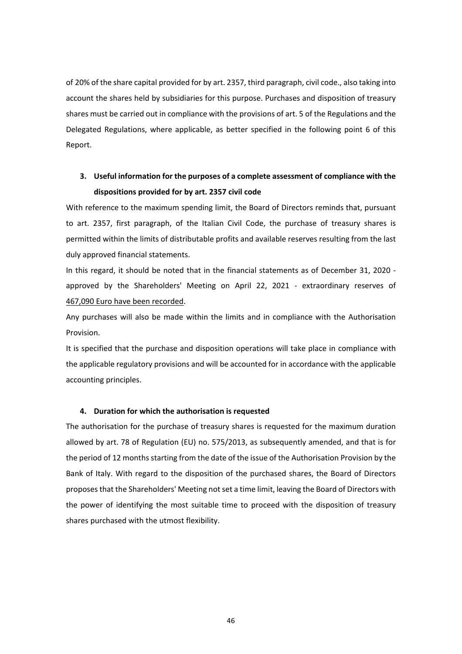of 20% of the share capital provided for by art. 2357, third paragraph, civil code., also taking into account the shares held by subsidiaries for this purpose. Purchases and disposition of treasury shares must be carried out in compliance with the provisions of art. 5 of the Regulations and the Delegated Regulations, where applicable, as better specified in the following point 6 of this Report.

# **3. Useful information for the purposes of a complete assessment of compliance with the dispositions provided for by art. 2357 civil code**

With reference to the maximum spending limit, the Board of Directors reminds that, pursuant to art. 2357, first paragraph, of the Italian Civil Code, the purchase of treasury shares is permitted within the limits of distributable profits and available reserves resulting from the last duly approved financial statements.

In this regard, it should be noted that in the financial statements as of December 31, 2020 approved by the Shareholders' Meeting on April 22, 2021 - extraordinary reserves of 467,090 Euro have been recorded.

Any purchases will also be made within the limits and in compliance with the Authorisation Provision.

It is specified that the purchase and disposition operations will take place in compliance with the applicable regulatory provisions and will be accounted for in accordance with the applicable accounting principles.

### **4. Duration for which the authorisation is requested**

The authorisation for the purchase of treasury shares is requested for the maximum duration allowed by art. 78 of Regulation (EU) no. 575/2013, as subsequently amended, and that is for the period of 12 months starting from the date of the issue of the Authorisation Provision by the Bank of Italy. With regard to the disposition of the purchased shares, the Board of Directors proposes that the Shareholders' Meeting not set a time limit, leaving the Board of Directors with the power of identifying the most suitable time to proceed with the disposition of treasury shares purchased with the utmost flexibility.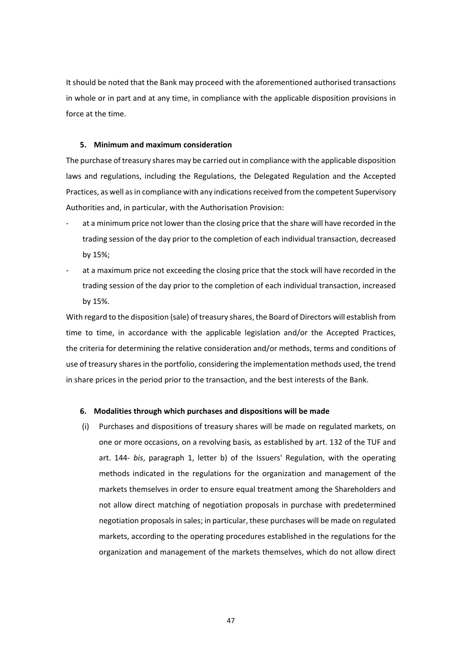It should be noted that the Bank may proceed with the aforementioned authorised transactions in whole or in part and at any time, in compliance with the applicable disposition provisions in force at the time.

### **5. Minimum and maximum consideration**

The purchase of treasury shares may be carried out in compliance with the applicable disposition laws and regulations, including the Regulations, the Delegated Regulation and the Accepted Practices, as well as in compliance with any indications received from the competent Supervisory Authorities and, in particular, with the Authorisation Provision:

- at a minimum price not lower than the closing price that the share will have recorded in the trading session of the day prior to the completion of each individual transaction, decreased by 15%;
- at a maximum price not exceeding the closing price that the stock will have recorded in the trading session of the day prior to the completion of each individual transaction, increased by 15%.

With regard to the disposition (sale) of treasury shares, the Board of Directors will establish from time to time, in accordance with the applicable legislation and/or the Accepted Practices, the criteria for determining the relative consideration and/or methods, terms and conditions of use of treasury shares in the portfolio, considering the implementation methods used, the trend in share prices in the period prior to the transaction, and the best interests of the Bank.

### **6. Modalities through which purchases and dispositions will be made**

(i) Purchases and dispositions of treasury shares will be made on regulated markets, on one or more occasions, on a revolving basis*,* as established by art. 132 of the TUF and art. 144- *bis*, paragraph 1, letter b) of the Issuers' Regulation, with the operating methods indicated in the regulations for the organization and management of the markets themselves in order to ensure equal treatment among the Shareholders and not allow direct matching of negotiation proposals in purchase with predetermined negotiation proposals in sales; in particular, these purchases will be made on regulated markets, according to the operating procedures established in the regulations for the organization and management of the markets themselves, which do not allow direct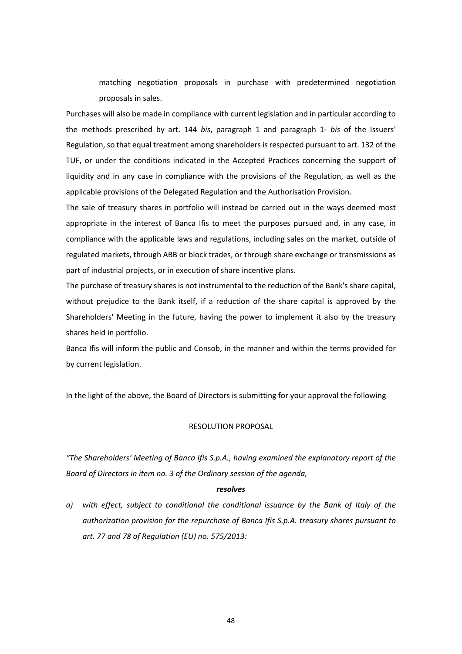matching negotiation proposals in purchase with predetermined negotiation proposals in sales.

Purchases will also be made in compliance with current legislation and in particular according to the methods prescribed by art. 144 *bis*, paragraph 1 and paragraph 1- *bis* of the Issuers' Regulation, so that equal treatment among shareholders is respected pursuant to art. 132 of the TUF, or under the conditions indicated in the Accepted Practices concerning the support of liquidity and in any case in compliance with the provisions of the Regulation, as well as the applicable provisions of the Delegated Regulation and the Authorisation Provision.

The sale of treasury shares in portfolio will instead be carried out in the ways deemed most appropriate in the interest of Banca Ifis to meet the purposes pursued and, in any case, in compliance with the applicable laws and regulations, including sales on the market, outside of regulated markets, through ABB or block trades, or through share exchange or transmissions as part of industrial projects, or in execution of share incentive plans.

The purchase of treasury shares is not instrumental to the reduction of the Bank's share capital, without prejudice to the Bank itself, if a reduction of the share capital is approved by the Shareholders' Meeting in the future, having the power to implement it also by the treasury shares held in portfolio.

Banca Ifis will inform the public and Consob, in the manner and within the terms provided for by current legislation.

In the light of the above, the Board of Directors is submitting for your approval the following

### RESOLUTION PROPOSAL

*"The Shareholders' Meeting of Banca Ifis S.p.A., having examined the explanatory report of the Board of Directors in item no. 3 of the Ordinary session of the agenda,* 

#### *resolves*

*a) with effect, subject to conditional the conditional issuance by the Bank of Italy of the authorization provision for the repurchase of Banca Ifis S.p.A. treasury shares pursuant to art. 77 and 78 of Regulation (EU) no. 575/2013:*